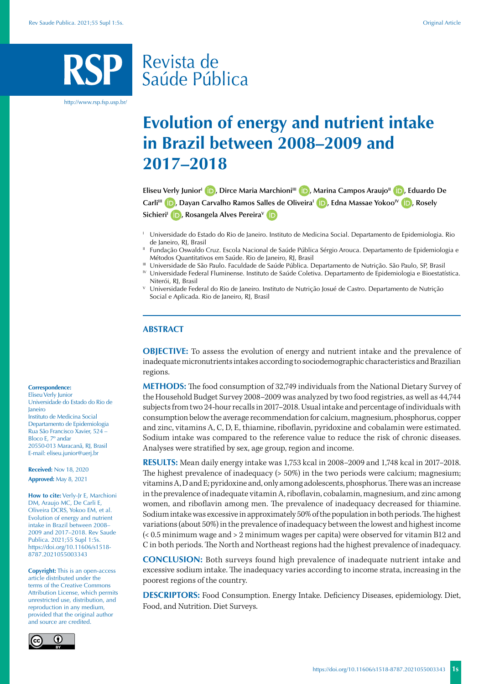# Revista de Saúde Pública

http://www.rsp.fsp.usp.br/

# **Evolution of energy and nutrient intake in Brazil between 2008–2009 and 2017–2018**

**Eliseu Verly Junior<sup>I</sup> (D)[,](https://orcid.org/0000-0002-7980-6618) Dirce Maria Marchioni<sup>III</sup> (D), Marina Campos Araujo<sup>II</sup> (D), Eduardo De Carli<sup>III</sup> <b>D**[,](https://orcid.org/0000-0002-3513-2084) Dayan Carvalho Ramos Salles de Oliveira<sup>1</sup> **D**[,](https://orcid.org/0000-0002-2821-7223) Edna Massae Yokoo<sup>IV</sup> **D**, Rosely **Sichieri<sup>I</sup> D**[,](https://orcid.org/0000-0001-5286-5354) Rosangela Alves Pereira<sup>v</sup> **iD** 

- <sup>I</sup> Universidade do Estado do Rio de Janeiro. Instituto de Medicina Social. Departamento de Epidemiologia. Rio de Janeiro, RJ, Brasil
- <sup>II</sup> Fundação Oswaldo Cruz. Escola Nacional de Saúde Pública Sérgio Arouca. Departamento de Epidemiologia e Métodos Quantitativos em Saúde. Rio de Janeiro, RJ, Brasil
- III Universidade de São Paulo. Faculdade de Saúde Pública. Departamento de Nutrição. São Paulo, SP, Brasil

IV Universidade Federal Fluminense. Instituto de Saúde Coletiva. Departamento de Epidemiologia e Bioestatística. Niterói, RJ, Brasil<br><sup>V</sup> Universidade Federal do Rio de Janeiro. Instituto de Nutrição Josué de Castro. Departamento de Nutrição

Social e Aplicada. Rio de Janeiro, RJ, Brasil

# **ABSTRACT**

**OBJECTIVE:** To assess the evolution of energy and nutrient intake and the prevalence of inadequate micronutrients intakes according to sociodemographic characteristics and Brazilian regions.

**METHODS:** The food consumption of 32,749 individuals from the National Dietary Survey of the Household Budget Survey 2008–2009 was analyzed by two food registries, as well as 44,744 subjects from two 24-hour recalls in 2017–2018. Usual intake and percentage of individuals with consumption below the average recommendation for calcium, magnesium, phosphorus, copper and zinc, vitamins A, C, D, E, thiamine, riboflavin, pyridoxine and cobalamin were estimated. Sodium intake was compared to the reference value to reduce the risk of chronic diseases. Analyses were stratified by sex, age group, region and income.

**RESULTS:** Mean daily energy intake was 1,753 kcal in 2008–2009 and 1,748 kcal in 2017–2018. The highest prevalence of inadequacy (> 50%) in the two periods were calcium; magnesium; vitamins A, D and E; pyridoxine and, only among adolescents, phosphorus. There was an increase in the prevalence of inadequate vitamin A, riboflavin, cobalamin, magnesium, and zinc among women, and riboflavin among men. The prevalence of inadequacy decreased for thiamine. Sodium intake was excessive in approximately 50% of the population in both periods. The highest variations (about 50%) in the prevalence of inadequacy between the lowest and highest income (< 0.5 minimum wage and > 2 minimum wages per capita) were observed for vitamin B12 and C in both periods. The North and Northeast regions had the highest prevalence of inadequacy.

**CONCLUSION:** Both surveys found high prevalence of inadequate nutrient intake and excessive sodium intake. The inadequacy varies according to income strata, increasing in the poorest regions of the country.

**DESCRIPTORS:** Food Consumption. Energy Intake. Deficiency Diseases, epidemiology. Diet, Food, and Nutrition. Diet Surveys.

#### **Correspondence:**

Eliseu Verly Junior Universidade do Estado do Rio de Janeiro Instituto de Medicina Social Departamento de Epidemiologia Rua São Francisco Xavier, 524 – Bloco E, 7º andar 20550-013 Maracanã, RJ, Brasil E-mail: eliseu.junior@uerj.br

**Received:** Nov 18, 2020 **Approved:** May 8, 2021

**How to cite:** Verly-Ir E, Marchioni DM, Araujo MC, De Carli E, Oliveira DCRS, Yokoo EM, et al. Evolution of energy and nutrient intake in Brazil between 2008– 2009 and 2017–2018. Rev Saude Publica. 2021;55 Supl 1:5s. https://doi.org/10.11606/s1518- 8787.2021055003343

**Copyright:** This is an open-access article distributed under the terms of the Creative Commons Attribution License, which permits unrestricted use, distribution, and reproduction in any medium, provided that the original author and source are credited.

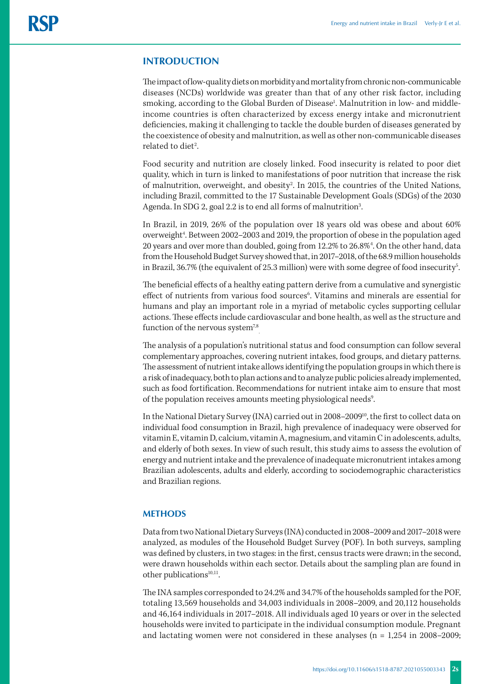# **INTRODUCTION**

The impact of low-quality diets on morbidity and mortality from chronic non-communicable diseases (NCDs) worldwide was greater than that of any other risk factor, including smoking, according to the Global Burden of Disease<sup>1</sup>. Malnutrition in low- and middleincome countries is often characterized by excess energy intake and micronutrient deficiencies, making it challenging to tackle the double burden of diseases generated by the coexistence of obesity and malnutrition, as well as other non-communicable diseases related to diet<sup>2</sup>.

Food security and nutrition are closely linked. Food insecurity is related to poor diet quality, which in turn is linked to manifestations of poor nutrition that increase the risk of malnutrition, overweight, and obesity<sup>2</sup>. In 2015, the countries of the United Nations, including Brazil, committed to the 17 Sustainable Development Goals (SDGs) of the 2030 Agenda. In SDG 2, goal 2.2 is to end all forms of malnutrition<sup>3</sup>. .

In Brazil, in 2019, 26% of the population over 18 years old was obese and about 60% overweight<sup>4</sup>. Between 2002–2003 and 2019, the proportion of obese in the population aged 20 years and over more than doubled, going from 12.2% to 26.8%4 . On the other hand, data from the Household Budget Survey showed that, in 2017–2018, of the 68.9 million households in Brazil, 36.7% (the equivalent of 25.3 million) were with some degree of food insecurity<sup>5</sup>. .

The beneficial effects of a healthy eating pattern derive from a cumulative and synergistic effect of nutrients from various food sources<sup>6</sup>. Vitamins and minerals are essential for humans and play an important role in a myriad of metabolic cycles supporting cellular actions. These effects include cardiovascular and bone health, as well as the structure and function of the nervous system<sup>7,8</sup> .

The analysis of a population's nutritional status and food consumption can follow several complementary approaches, covering nutrient intakes, food groups, and dietary patterns. The assessment of nutrient intake allows identifying the population groups in which there is a risk of inadequacy, both to plan actions and to analyze public policies already implemented, such as food fortification. Recommendations for nutrient intake aim to ensure that most of the population receives amounts meeting physiological needs<sup>9</sup>. .

In the National Dietary Survey (INA) carried out in 2008–2009<sup>10</sup>, the first to collect data on individual food consumption in Brazil, high prevalence of inadequacy were observed for vitamin E, vitamin D, calcium, vitamin A, magnesium, and vitamin C in adolescents, adults, and elderly of both sexes. In view of such result, this study aims to assess the evolution of energy and nutrient intake and the prevalence of inadequate micronutrient intakes among Brazilian adolescents, adults and elderly, according to sociodemographic characteristics and Brazilian regions.

# **METHODS**

Data from two National Dietary Surveys (INA) conducted in 2008–2009 and 2017–2018 were analyzed, as modules of the Household Budget Survey (POF). In both surveys, sampling was defined by clusters, in two stages: in the first, census tracts were drawn; in the second, were drawn households within each sector. Details about the sampling plan are found in other publications<sup>10,11</sup>.

The INA samples corresponded to 24.2% and 34.7% of the households sampled for the POF, totaling 13,569 households and 34,003 individuals in 2008–2009, and 20,112 households and 46,164 individuals in 2017–2018. All individuals aged 10 years or over in the selected households were invited to participate in the individual consumption module. Pregnant and lactating women were not considered in these analyses ( $n = 1,254$  in 2008–2009;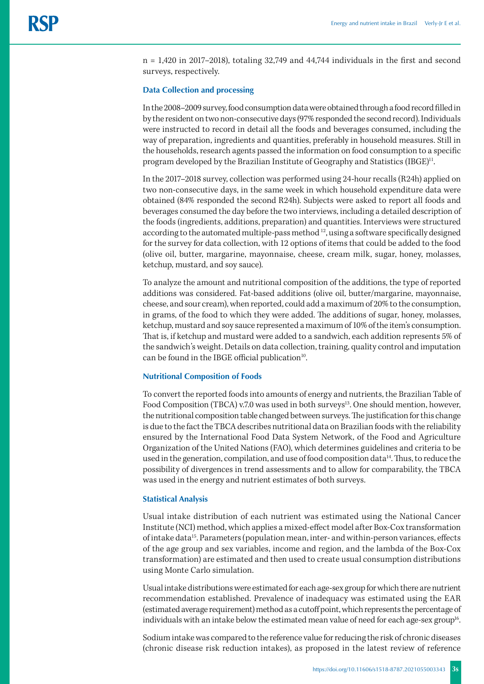n = 1,420 in 2017–2018), totaling 32,749 and 44,744 individuals in the first and second surveys, respectively.

### **Data Collection and processing**

In the 2008–2009 survey, food consumption data were obtained through a food record filled in by the resident on two non-consecutive days (97% responded the second record). Individuals were instructed to record in detail all the foods and beverages consumed, including the way of preparation, ingredients and quantities, preferably in household measures. Still in the households, research agents passed the information on food consumption to a specific program developed by the Brazilian Institute of Geography and Statistics (IBGE)<sup>11</sup>.

In the 2017–2018 survey, collection was performed using 24-hour recalls (R24h) applied on two non-consecutive days, in the same week in which household expenditure data were obtained (84% responded the second R24h). Subjects were asked to report all foods and beverages consumed the day before the two interviews, including a detailed description of the foods (ingredients, additions, preparation) and quantities. Interviews were structured according to the automated multiple-pass method <sup>12</sup>, using a software specifically designed for the survey for data collection, with 12 options of items that could be added to the food (olive oil, butter, margarine, mayonnaise, cheese, cream milk, sugar, honey, molasses, ketchup, mustard, and soy sauce).

To analyze the amount and nutritional composition of the additions, the type of reported additions was considered. Fat-based additions (olive oil, butter/margarine, mayonnaise, cheese, and sour cream), when reported, could add a maximum of 20% to the consumption, in grams, of the food to which they were added. The additions of sugar, honey, molasses, ketchup, mustard and soy sauce represented a maximum of 10% of the item's consumption. That is, if ketchup and mustard were added to a sandwich, each addition represents 5% of the sandwich's weight. Details on data collection, training, quality control and imputation can be found in the IBGE official publication<sup>10</sup>.

## **Nutritional Composition of Foods**

To convert the reported foods into amounts of energy and nutrients, the Brazilian Table of Food Composition (TBCA) v.7.0 was used in both surveys<sup>13</sup>. One should mention, however, the nutritional composition table changed between surveys. The justification for this change is due to the fact the TBCA describes nutritional data on Brazilian foods with the reliability ensured by the International Food Data System Network, of the Food and Agriculture Organization of the United Nations (FAO), which determines guidelines and criteria to be used in the generation, compilation, and use of food composition data<sup>14</sup>. Thus, to reduce the possibility of divergences in trend assessments and to allow for comparability, the TBCA was used in the energy and nutrient estimates of both surveys.

#### **Statistical Analysis**

Usual intake distribution of each nutrient was estimated using the National Cancer Institute (NCI) method, which applies a mixed-effect model after Box-Cox transformation of intake data15. Parameters (population mean, inter- and within-person variances, effects of the age group and sex variables, income and region, and the lambda of the Box-Cox transformation) are estimated and then used to create usual consumption distributions using Monte Carlo simulation.

Usual intake distributions were estimated for each age-sex group for which there are nutrient recommendation established. Prevalence of inadequacy was estimated using the EAR (estimated average requirement) method as a cutoff point, which represents the percentage of individuals with an intake below the estimated mean value of need for each age-sex group<sup>16</sup>.

Sodium intake was compared to the reference value for reducing the risk of chronic diseases (chronic disease risk reduction intakes), as proposed in the latest review of reference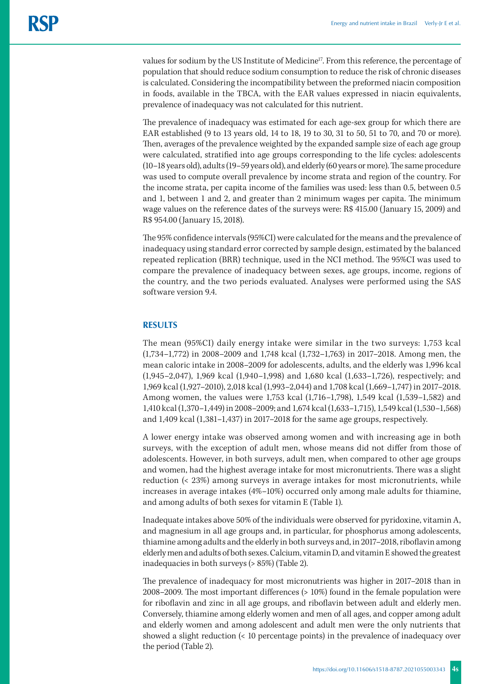values for sodium by the US Institute of Medicine<sup>17</sup>. From this reference, the percentage of population that should reduce sodium consumption to reduce the risk of chronic diseases is calculated. Considering the incompatibility between the preformed niacin composition in foods, available in the TBCA, with the EAR values expressed in niacin equivalents, prevalence of inadequacy was not calculated for this nutrient.

The prevalence of inadequacy was estimated for each age-sex group for which there are EAR established (9 to 13 years old, 14 to 18, 19 to 30, 31 to 50, 51 to 70, and 70 or more). Then, averages of the prevalence weighted by the expanded sample size of each age group were calculated, stratified into age groups corresponding to the life cycles: adolescents (10–18 years old), adults (19–59 years old), and elderly (60 years or more). The same procedure was used to compute overall prevalence by income strata and region of the country. For the income strata, per capita income of the families was used: less than 0.5, between 0.5 and 1, between 1 and 2, and greater than 2 minimum wages per capita. The minimum wage values on the reference dates of the surveys were: R\$ 415.00 (January 15, 2009) and R\$ 954.00 (January 15, 2018).

The 95% confidence intervals (95%CI) were calculated for the means and the prevalence of inadequacy using standard error corrected by sample design, estimated by the balanced repeated replication (BRR) technique, used in the NCI method. The 95%CI was used to compare the prevalence of inadequacy between sexes, age groups, income, regions of the country, and the two periods evaluated. Analyses were performed using the SAS software version 9.4.

# **RESULTS**

The mean (95%CI) daily energy intake were similar in the two surveys: 1,753 kcal (1,734–1,772) in 2008–2009 and 1,748 kcal (1,732–1,763) in 2017–2018. Among men, the mean caloric intake in 2008–2009 for adolescents, adults, and the elderly was 1,996 kcal (1,945–2,047), 1,969 kcal (1,940–1,998) and 1,680 kcal (1,633–1,726), respectively; and 1,969 kcal (1,927–2010), 2,018 kcal (1,993–2,044) and 1,708 kcal (1,669–1,747) in 2017–2018. Among women, the values were 1,753 kcal (1,716–1,798), 1,549 kcal (1,539–1,582) and 1,410 kcal (1,370–1,449) in 2008–2009; and 1,674 kcal (1,633–1,715), 1,549 kcal (1,530–1,568) and 1,409 kcal (1,381–1,437) in 2017–2018 for the same age groups, respectively.

A lower energy intake was observed among women and with increasing age in both surveys, with the exception of adult men, whose means did not differ from those of adolescents. However, in both surveys, adult men, when compared to other age groups and women, had the highest average intake for most micronutrients. There was a slight reduction (< 23%) among surveys in average intakes for most micronutrients, while increases in average intakes (4%–10%) occurred only among male adults for thiamine, and among adults of both sexes for vitamin E (Table 1).

Inadequate intakes above 50% of the individuals were observed for pyridoxine, vitamin A, and magnesium in all age groups and, in particular, for phosphorus among adolescents, thiamine among adults and the elderly in both surveys and, in 2017–2018, riboflavin among elderly men and adults of both sexes. Calcium, vitamin D, and vitamin E showed the greatest inadequacies in both surveys (> 85%) (Table 2).

The prevalence of inadequacy for most micronutrients was higher in 2017–2018 than in 2008–2009. The most important differences (> 10%) found in the female population were for riboflavin and zinc in all age groups, and riboflavin between adult and elderly men. Conversely, thiamine among elderly women and men of all ages, and copper among adult and elderly women and among adolescent and adult men were the only nutrients that showed a slight reduction (< 10 percentage points) in the prevalence of inadequacy over the period (Table 2).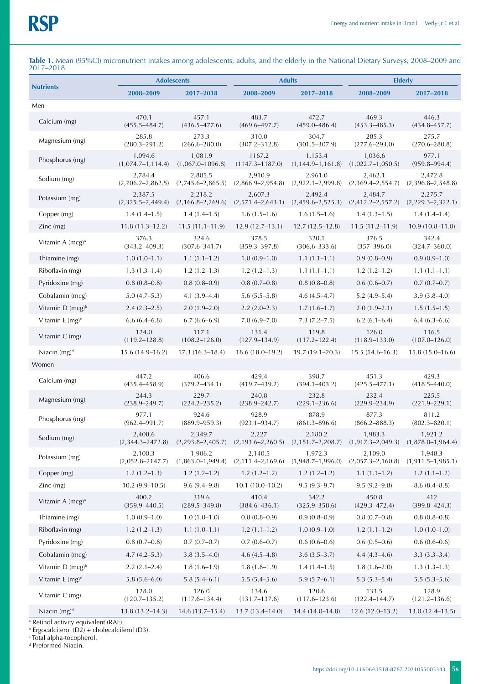|                                |                                  | <b>Adolescents</b>               |                                  | <b>Adults</b>                      | <b>Elderly</b>                   |                                  |  |
|--------------------------------|----------------------------------|----------------------------------|----------------------------------|------------------------------------|----------------------------------|----------------------------------|--|
| <b>Nutrients</b>               | 2008-2009                        | 2017-2018                        | 2008-2009                        | 2017-2018                          | 2008-2009                        | 2017-2018                        |  |
| Men                            |                                  |                                  |                                  |                                    |                                  |                                  |  |
| Calcium (mg)                   | 470.1<br>$(455.5 - 484.7)$       | 457.1<br>$(436.5 - 477.6)$       | 483.7<br>$(469.6 - 497.7)$       | 472.7<br>$(459.0 - 486.4)$         | 469.3<br>$(453.3 - 485.3)$       | 446.3<br>$(434.8 - 457.7)$       |  |
| Magnesium (mg)                 | 285.8<br>$(280.3 - 291.2)$       | 273.3<br>$(266.6 - 280.0)$       | 310.0<br>$(307.2 - 312.8)$       | 304.7<br>$(301.5 - 307.9)$         | 285.3<br>$(277.6 - 293.0)$       | 275.7<br>$(270.6 - 280.8)$       |  |
| Phosphorus (mg)                | 1,094.6<br>$(1,074.7-1,114.4)$   | 1,081.9<br>$(1,067.0 - 1096.8)$  | 1167.2<br>$(1147.3 - 1187.0)$    | 1,153.4<br>$(1, 144.9 - 1, 161.8)$ | 1,036.6<br>$(1,022.7-1,050.5)$   | 977.1<br>$(959.8 - 994.4)$       |  |
| Sodium (mg)                    | 2,784.4<br>$(2,706.2 - 2,862.5)$ | 2,805.5<br>$(2,745.6 - 2,865.5)$ | 2,910.9<br>$(2,866.9-2,954.8)$   | 2,961.0<br>$(2,922.1 - 2,999.8)$   | 2,462.1<br>$(2,369.4 - 2,554.7)$ | 2,472.8<br>$(2,396.8-2,548.8)$   |  |
| Potassium (mg)                 | 2,387.5<br>$(2,325.5 - 2,449.4)$ | 2,218.2<br>$(2,166.8-2,269.6)$   | 2,607.3<br>$(2,571.4-2,643.1)$   | 2,492.4<br>$(2,459.6-2,525.3)$     | 2,484.7<br>$(2,412.2-2,557.2)$   | 2,275.7<br>$(2,229.3-2,322.1)$   |  |
| Copper (mg)                    | $1.4(1.4-1.5)$                   | $1.4(1.4-1.5)$                   | $1.6(1.5-1.6)$                   | $1.6(1.5-1.6)$                     | $1.4(1.3-1.5)$                   | $1.4(1.4-1.4)$                   |  |
| $Zinc$ (mg)                    | $11.8(11.3-12.2)$                | $11.5(11.1 - 11.9)$              | $12.9(12.7-13.1)$                | $12.7(12.5-12.8)$                  | $11.5(11.2 - 11.9)$              | $10.9(10.8 - 11.0)$              |  |
| Vitamin A $(mcg)^a$            | 376.3<br>$(343.2 - 409.3)$       | 324.6<br>$(307.6 - 341.7)$       | 378.5<br>$(359.3 - 397.8)$       | 320.1<br>$(306.6 - 333.6)$         | 376.5<br>$(357 - 396.0)$         | 342.4<br>$(324.7 - 360.0)$       |  |
| Thiamine (mg)                  | $1.0(1.0-1.1)$                   | $1.1(1.1-1.2)$                   | $1.0(0.9-1.0)$                   | $1.1(1.1-1.1)$                     | $0.9(0.8-0.9)$                   | $0.9(0.9-1.0)$                   |  |
| Riboflavin (mg)                | $1.3(1.3-1.4)$                   | $1.2(1.2-1.3)$                   | $1.2(1.2-1.3)$                   | $1.1(1.1-1.1)$                     | $1.2(1.2 - 1.2)$                 | $1.1(1.1-1.1)$                   |  |
| Pyridoxine (mg)                | $0.8(0.8-0.8)$                   | $0.8(0.8-0.9)$                   | $0.8(0.7-0.8)$                   | $0.8(0.8-0.8)$                     | $0.6(0.6-0.7)$                   | $0.7(0.7-0.7)$                   |  |
| Cobalamin (mcg)                | $5.0(4.7-5.3)$                   | $4.1(3.9-4.4)$                   | $5.6(5.5-5.8)$                   | $4.6(4.5-4.7)$                     | $5.2(4.9-5.4)$                   | $3.9(3.8-4.0)$                   |  |
| Vitamin $D$ (mcg) <sup>b</sup> | $2.4(2.3-2.5)$                   | $2.0(1.9-2.0)$                   | $2.2(2.0-2.3)$                   | $1.7(1.6-1.7)$                     | $2.0(1.9-2.1)$                   | $1.5(1.5-1.5)$                   |  |
| Vitamin E $(mg)^c$             | $6.6(6.4 - 6.8)$                 | $6.7(6.6-6.9)$                   | $7.0(6.9 - 7.0)$                 | $7.3(7.2 - 7.5)$                   | $6.2(6.1 - 6.4)$                 | $6.4(6.3-6.6)$                   |  |
| Vitamin $C$ (mg)               | 124.0<br>$(119.2 - 128.8)$       | 117.1<br>$(108.2 - 126.0)$       | 131.4<br>$(127.9 - 134.9)$       | 119.8<br>$(117.2 - 122.4)$         | 126.0<br>$(118.9 - 133.0)$       | 116.5<br>$(107.0 - 126.0)$       |  |
| Niacin $(mg)^d$                | $15.6(14.9-16.2)$                | $17.3(16.3-18.4)$                | $18.6(18.0-19.2)$                | $19.7(19.1 - 20.3)$                | $15.5(14.6 - 16.3)$              | $15.8(15.0 - 16.6)$              |  |
| Women                          |                                  |                                  |                                  |                                    |                                  |                                  |  |
| Calcium (mg)                   | 447.2<br>$(435.4 - 458.9)$       | 406.6<br>$(379.2 - 434.1)$       | 429.4<br>$(419.7 - 439.2)$       | 398.7<br>$(394.1 - 403.2)$         | 451.3<br>$(425.5 - 477.1)$       | 429.3<br>$(418.5 - 440.0)$       |  |
| Magnesium (mg)                 | 244.3<br>$(238.9 - 249.7)$       | 229.7<br>$(224.2 - 235.2)$       | 240.8<br>$(238.9 - 242.7)$       | 232.8<br>$(229.1 - 236.6)$         | 232.4<br>$(229.9 - 234.9)$       | 225.5<br>$(221.9 - 229.1)$       |  |
| Phosphorus (mg)                | 977.1<br>$(962.4 - 991.7)$       | 924.6<br>$(889.9 - 959.3)$       | 928.9<br>$(923.1 - 934.7)$       | 878.9<br>$(861.3 - 896.6)$         | 877.3<br>$(866.2 - 888.3)$       | 811.2<br>$(802.3 - 820.1)$       |  |
| Sodium (mg)                    | 2,408.6<br>$(2,344.3 - 2472.8)$  | 2,349.7<br>$(2,293.8-2,405.7)$   | 2,227<br>$(2, 193.6 - 2, 260.5)$ | 2,180.2<br>$(2, 151.7 - 2, 208.7)$ | 1,983.3<br>$(1,917.3 - 2,049.3)$ | 1,921.2<br>$(1,878.0 - 1,964.4)$ |  |
| Potassium (mg)                 | 2,100.3<br>$(2,052.8 - 2147.7)$  | 1,906.2<br>$(1,863.0 - 1,949.4)$ | 2,140.5<br>$(2,111.4-2,169.6)$   | 1,972.3<br>$(1,948.7-1,996.0)$     | 2,109.0<br>$(2,057.3 - 2,160.8)$ | 1,948.3<br>$(1,911.5-1,985.1)$   |  |
| Copper (mg)                    | $1.2(1.2-1.3)$                   | $1.2(1.2 - 1.2)$                 | $1.2(1.2 - 1.2)$                 | $1.2(1.2 - 1.2)$                   | $1.1(1.1-1.2)$                   | $1.2(1.1-1.2)$                   |  |
| $Zinc$ (mg)                    | $10.2(9.9-10.5)$                 | $9.6(9.4 - 9.8)$                 | $10.1(10.0-10.2)$                | $9.5(9.3-9.7)$                     | $9.5(9.2 - 9.8)$                 | $8.6(8.4 - 8.8)$                 |  |
| Vitamin A $(mcg)^a$            | 400.2<br>$(359.9 - 440.5)$       | 319.6<br>$(289.5 - 349.8)$       | 410.4<br>$(384.6 - 436.1)$       | 342.2<br>$(325.9 - 358.6)$         | 450.8<br>$(429.3 - 472.4)$       | 412<br>$(399.8 - 424.3)$         |  |
| Thiamine (mg)                  | $1.0(0.9-1.0)$                   | $1.0(1.0-1.0)$                   | $0.8(0.8-0.9)$                   | $0.9(0.8-0.9)$                     | $0.8(0.7-0.8)$                   | $0.8(0.8-0.8)$                   |  |
| Riboflavin (mg)                | $1.2(1.2-1.3)$                   | $1.1(1.0-1.1)$                   | $1.2(1.1-1.2)$                   | $1.0(0.9-1.0)$                     | $1.2(1.1-1.2)$                   | $1.0(1.0-1.0)$                   |  |
| Pyridoxine (mg)                | $0.8(0.7-0.8)$                   | $0.7(0.7-0.7)$                   | $0.7(0.6 - 0.7)$                 | $0.6(0.6-0.6)$                     | $0.6(0.5-0.6)$                   | $0.6(0.6-0.6)$                   |  |
| Cobalamin (mcg)                | $4.7(4.2 - 5.3)$                 | $3.8(3.5-4.0)$                   | $4.6(4.5-4.8)$                   | $3.6(3.5-3.7)$                     | $4.4(4.3-4.6)$                   | $3.3(3.3-3.4)$                   |  |
| Vitamin D (mcg) <sup>b</sup>   | $2.2(2.1-2.4)$                   | $1.8(1.6-1.9)$                   | $1.8(1.8-1.9)$                   | $1.4(1.4-1.5)$                     | $1.8(1.6 - 2.0)$                 | $1.3(1.3-1.3)$                   |  |
| Vitamin E $(mg)^c$             | $5.8(5.6 - 6.0)$                 | $5.8(5.4 - 6.1)$                 | $5.5(5.4 - 5.6)$                 | $5.9(5.7 - 6.1)$                   | $5.3(5.3 - 5.4)$                 | $5.5(5.3 - 5.6)$                 |  |
| Vitamin C (mg)                 | 128.0<br>$(120.7 - 135.2)$       | 126.0<br>$(117.6 - 134.4)$       | 134.6<br>$(131.7 - 137.6)$       | 120.6<br>$(117.6 - 123.6)$         | 133.5<br>$(122.4 - 144.7)$       | 128.9<br>$(121.2 - 136.6)$       |  |
| Niacin (mg) <sup>d</sup>       | $13.8(13.2 - 14.3)$              | $14.6(13.7-15.4)$                | $13.7(13.4 - 14.0)$              | $14.4(14.0-14.8)$                  | $12.6(12.0-13.2)$                | $13.0(12.4 - 13.5)$              |  |

Table 1. Mean (95%CI) micronutrient intakes among adolescents, adults, and the elderly in the National Dietary Surveys, 2008–2009 and 2017–2018.

<sup>a</sup> Retinol activity equivalent (RAE).

b Ergocalciterol (D2) + cholecalciferol (D3).

c Total alpha-tocopherol.

d Preformed Niacin.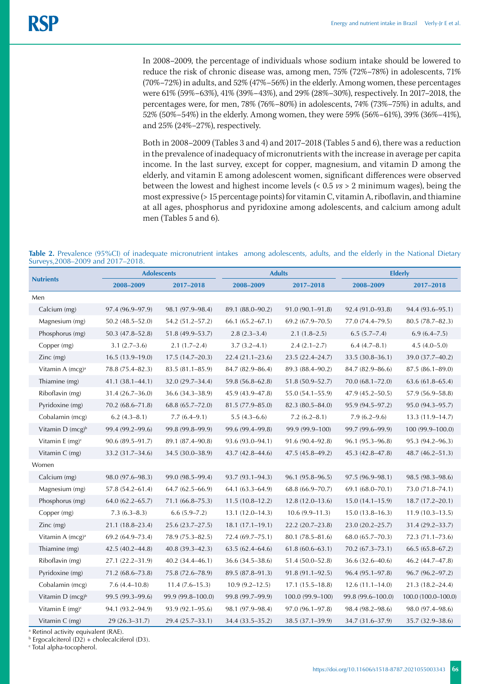In 2008–2009, the percentage of individuals whose sodium intake should be lowered to reduce the risk of chronic disease was, among men, 75% (72%–78%) in adolescents, 71% (70%–72%) in adults, and 52% (47%–56%) in the elderly. Among women, these percentages were 61% (59%–63%), 41% (39%–43%), and 29% (28%–30%), respectively. In 2017–2018, the percentages were, for men, 78% (76%–80%) in adolescents, 74% (73%–75%) in adults, and 52% (50%–54%) in the elderly. Among women, they were 59% (56%–61%), 39% (36%–41%), and 25% (24%–27%), respectively.

Both in 2008–2009 (Tables 3 and 4) and 2017–2018 (Tables 5 and 6), there was a reduction in the prevalence of inadequacy of micronutrients with the increase in average per capita income. In the last survey, except for copper, magnesium, and vitamin D among the elderly, and vitamin E among adolescent women, significant differences were observed between the lowest and highest income levels (< 0.5 *vs* > 2 minimum wages), being the most expressive (> 15 percentage points) for vitamin C, vitamin A, riboflavin, and thiamine at all ages, phosphorus and pyridoxine among adolescents, and calcium among adult men (Tables 5 and 6).

| Table 2. Prevalence (95%Cl) of inadequate micronutrient intakes among adolescents, adults, and the elderly in the National Dietary |  |  |  |
|------------------------------------------------------------------------------------------------------------------------------------|--|--|--|
| Surveys, 2008–2009 and 2017–2018.                                                                                                  |  |  |  |

|                                |                     | <b>Adolescents</b>  | <b>Adults</b>       |                     | <b>Elderly</b>      |                     |
|--------------------------------|---------------------|---------------------|---------------------|---------------------|---------------------|---------------------|
| <b>Nutrients</b>               | 2008-2009           | 2017-2018           | 2008-2009           | 2017-2018           | 2008-2009           | 2017-2018           |
| Men                            |                     |                     |                     |                     |                     |                     |
| Calcium (mg)                   | 97.4 (96.9–97.9)    | 98.1 (97.9-98.4)    | 89.1 (88.0-90.2)    | $91.0(90.1 - 91.8)$ | 92.4 (91.0-93.8)    | 94.4 (93.6-95.1)    |
| Magnesium (mg)                 | $50.2(48.5 - 52.0)$ | 54.2 (51.2-57.2)    | $66.1(65.2 - 67.1)$ | $69.2(67.9 - 70.5)$ | 77.0 (74.4–79.5)    | $80.5(78.7 - 82.3)$ |
| Phosphorus (mg)                | $50.3(47.8 - 52.8)$ | 51.8 (49.9-53.7)    | $2.8(2.3-3.4)$      | $2.1(1.8-2.5)$      | 6.5(5.7–7.4)        | $6.9(6.4 - 7.5)$    |
| Copper (mg)                    | $3.1(2.7-3.6)$      | $2.1(1.7-2.4)$      | $3.7(3.2 - 4.1)$    | $2.4(2.1-2.7)$      | $6.4(4.7 - 8.1)$    | $4.5(4.0 - 5.0)$    |
| $Zinc$ (mg)                    | $16.5(13.9-19.0)$   | $17.5(14.7-20.3)$   | $22.4(21.1-23.6)$   | 23.5 (22.4-24.7)    | 33.5 (30.8-36.1)    | 39.0 (37.7-40.2)    |
| Vitamin A (mcg) <sup>a</sup>   | 78.8 (75.4-82.3)    | 83.5 (81.1-85.9)    | 84.7 (82.9-86.4)    | 89.3 (88.4-90.2)    | 84.7 (82.9-86.6)    | $87.5(86.1 - 89.0)$ |
| Thiamine (mg)                  | 41.1 (38.1-44.1)    | 32.0 (29.7-34.4)    | 59.8 (56.8–62.8)    | $51.8(50.9 - 52.7)$ | 70.0 (68.1-72.0)    | $63.6(61.8 - 65.4)$ |
| Riboflavin (mg)                | $31.4(26.7-36.0)$   | 36.6 (34.3–38.9)    | 45.9 (43.9–47.8)    | 55.0 (54.1–55.9)    | $47.9(45.2 - 50.5)$ | 57.9 (56.9–58.8)    |
| Pyridoxine (mg)                | $70.2(68.6 - 71.8)$ | $68.8(65.7 - 72.0)$ | $81.5(77.9 - 85.0)$ | 82.3 (80.5-84.0)    | 95.9 (94.5-97.2)    | 95.0 (94.3-95.7)    |
| Cobalamin (mcg)                | $6.2(4.3 - 8.1)$    | $7.7(6.4 - 9.1)$    | $5.5(4.3-6.6)$      | $7.2(6.2 - 8.1)$    | $7.9(6.2 - 9.6)$    | $13.3(11.9 - 14.7)$ |
| Vitamin D (mcg) <sup>b</sup>   | 99.4 (99.2-99.6)    | 99.8 (99.8-99.9)    | 99.6 (99.4-99.8)    | 99.9 (99.9-100)     | 99.7 (99.6-99.9)    | 100 (99.9-100.0)    |
| Vitamin E $(mg)^c$             | $90.6(89.5-91.7)$   | 89.1 (87.4-90.8)    | 93.6 (93.0-94.1)    | 91.6 (90.4-92.8)    | 96.1 (95.3-96.8)    | 95.3 (94.2-96.3)    |
| Vitamin C (mg)                 | 33.2 (31.7-34.6)    | 34.5 (30.0-38.9)    | 43.7 (42.8-44.6)    | $47.5(45.8 - 49.2)$ | 45.3 (42.8-47.8)    | $48.7(46.2 - 51.3)$ |
| Women                          |                     |                     |                     |                     |                     |                     |
| Calcium (mg)                   | 98.0 (97.6-98.3)    | 99.0 (98.5-99.4)    | 93.7 (93.1-94.3)    | 96.1 (95.8-96.5)    | 97.5 (96.9-98.1)    | 98.5 (98.3-98.6)    |
| Magnesium (mg)                 | $57.8(54.2 - 61.4)$ | $64.7(62.5 - 66.9)$ | 64.1 (63.3–64.9)    | 68.8 (66.9-70.7)    | $69.1(68.0 - 70.1)$ | 73.0 (71.8–74.1)    |
| Phosphorus (mg)                | $64.0(62.2 - 65.7)$ | $71.1(66.8 - 75.3)$ | $11.5(10.8-12.2)$   | $12.8(12.0-13.6)$   | $15.0(14.1 - 15.9)$ | $18.7(17.2 - 20.1)$ |
| Copper (mg)                    | $7.3(6.3-8.3)$      | $6.6(5.9 - 7.2)$    | $13.1(12.0-14.3)$   | $10.6(9.9 - 11.3)$  | $15.0(13.8 - 16.3)$ | $11.9(10.3-13.5)$   |
| $Zinc$ (mg)                    | 21.1 (18.8-23.4)    | 25.6 (23.7-27.5)    | $18.1(17.1 - 19.1)$ | $22.2(20.7-23.8)$   | 23.0 (20.2-25.7)    | 31.4 (29.2-33.7)    |
| Vitamin A (mcg) <sup>a</sup>   | $69.2(64.9 - 73.4)$ | 78.9 (75.3–82.5)    | 72.4 (69.7–75.1)    | $80.1(78.5 - 81.6)$ | $68.0(65.7 - 70.3)$ | 72.3 (71.1–73.6)    |
| Thiamine (mg)                  | 42.5 (40.2-44.8)    | $40.8(39.3 - 42.3)$ | $63.5(62.4 - 64.6)$ | $61.8(60.6 - 63.1)$ | $70.2(67.3 - 73.1)$ | $66.5(65.8 - 67.2)$ |
| Riboflavin (mg)                | $27.1(22.2 - 31.9)$ | $40.2(34.4 - 46.1)$ | 36.6 (34.5–38.6)    | 51.4 (50.0–52.8)    | 36.6 (32.6–40.6)    | 46.2 (44.7–47.8)    |
| Pyridoxine (mg)                | 71.2 (68.6-73.8)    | 75.8 (72.6-78.9)    | 89.5 (87.8-91.3)    | 91.8 (91.1-92.5)    | 96.4 (95.1-97.8)    | 96.7 (96.2-97.2)    |
| Cobalamin (mcg)                | $7.6(4.4-10.8)$     | $11.4(7.6-15.3)$    | $10.9(9.2 - 12.5)$  | $17.1(15.5 - 18.8)$ | $12.6(11.1 - 14.0)$ | $21.3(18.2 - 24.4)$ |
| Vitamin $D$ (mcg) <sup>b</sup> | 99.5 (99.3-99.6)    | 99.9 (99.8-100.0)   | 99.8 (99.7-99.9)    | 100.0 (99.9-100)    | 99.8 (99.6-100.0)   | 100.0 (100.0-100.0) |
| Vitamin $E$ (mg) <sup>c</sup>  | 94.1 (93.2-94.9)    | 93.9 (92.1-95.6)    | 98.1 (97.9-98.4)    | 97.0 (96.1-97.8)    | 98.4 (98.2-98.6)    | 98.0 (97.4-98.6)    |
| Vitamin C (mg)                 | 29 (26.3-31.7)      | 29.4 (25.7-33.1)    | 34.4 (33.5–35.2)    | 38.5 (37.1-39.9)    | 34.7 (31.6-37.9)    | 35.7 (32.9-38.6)    |

a Retinol activity equivalent (RAE).

b Ergocalciterol (D2) + cholecalciferol (D3).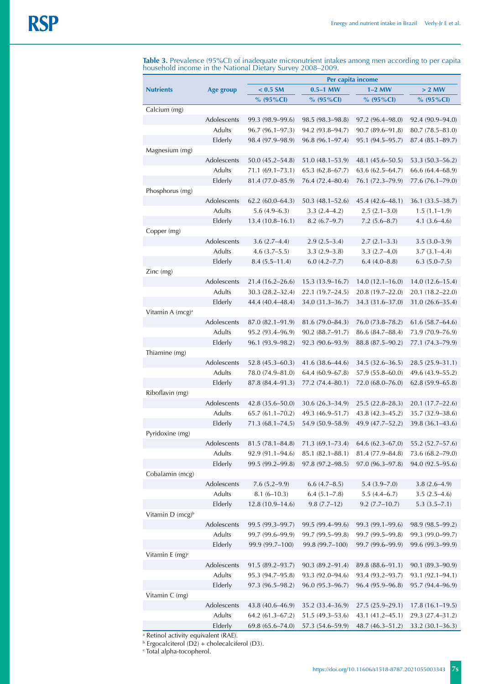**Table 3.** Prevalence (95%CI) of inadequate micronutrient intakes among men according to per capita household income in the National Dietary Survey 2008–2009.

|                                |               | Per capita income                   |                                       |                                       |                                    |  |
|--------------------------------|---------------|-------------------------------------|---------------------------------------|---------------------------------------|------------------------------------|--|
| <b>Nutrients</b>               | Age group     | $< 0.5$ SM                          | $0.5-1$ MW                            | $1-2$ MW                              | > 2 MW                             |  |
|                                |               | % $(95\%$ CI)                       | % $(95\%$ CI)                         | $% (95\% CI)$                         | % $(95\%$ CI)                      |  |
| Calcium (mg)                   |               |                                     |                                       |                                       |                                    |  |
|                                | Adolescents   | 99.3 (98.9-99.6)                    | $98.5(98.3 - 98.8)$                   | $97.2(96.4 - 98.0)$                   | $92.4(90.9 - 94.0)$                |  |
|                                | <b>Adults</b> | $96.7(96.1 - 97.3)$                 | 94.2 (93.8-94.7)                      | $90.7(89.6 - 91.8)$                   | $80.7(78.5 - 83.0)$                |  |
|                                | Elderly       | 98.4 (97.9-98.9)                    | $96.8(96.1 - 97.4)$                   | 95.1 (94.5-95.7)                      | $87.4(85.1 - 89.7)$                |  |
| Magnesium (mg)                 |               |                                     |                                       |                                       |                                    |  |
|                                | Adolescents   | $50.0(45.2 - 54.8)$                 | $51.0(48.1 - 53.9)$                   | 48.1 (45.6–50.5)                      | $53.3(50.3 - 56.2)$                |  |
|                                | Adults        | $71.1(69.1 - 73.1)$                 | $65.3(62.8 - 67.7)$                   | $63.6(62.5 - 64.7)$                   | 66.6 (64.4–68.9)                   |  |
|                                | Elderly       | 81.4 (77.0-85.9)                    | 76.4 (72.4-80.4)                      | 76.1 (72.3-79.9)                      | 77.6 (76.1-79.0)                   |  |
| Phosphorus (mg)                | Adolescents   |                                     |                                       |                                       |                                    |  |
|                                | Adults        | $62.2(60.0-64.3)$<br>$5.6(4.9-6.3)$ | $50.3(48.1 - 52.6)$<br>$3.3(2.4-4.2)$ | $45.4(42.6 - 48.1)$<br>$2.5(2.1-3.0)$ | 36.1 (33.5–38.7)<br>$1.5(1.1-1.9)$ |  |
|                                | Elderly       | $13.4(10.8 - 16.1)$                 | $8.2(6.7-9.7)$                        | $7.2(5.6 - 8.7)$                      | $4.1(3.6-4.6)$                     |  |
| Copper (mg)                    |               |                                     |                                       |                                       |                                    |  |
|                                | Adolescents   | $3.6(2.7-4.4)$                      | $2.9(2.5-3.4)$                        | $2.7(2.1 - 3.3)$                      | $3.5(3.0-3.9)$                     |  |
|                                | Adults        | $4.6(3.7-5.5)$                      | $3.3(2.9-3.8)$                        | $3.3(2.7-4.0)$                        | $3.7(3.1 - 4.4)$                   |  |
|                                | Elderly       | $8.4(5.5 - 11.4)$                   | $6.0(4.2 - 7.7)$                      | $6.4(4.0 - 8.8)$                      | $6.3(5.0 - 7.5)$                   |  |
| Zinc (mg)                      |               |                                     |                                       |                                       |                                    |  |
|                                | Adolescents   | $21.4(16.2 - 26.6)$                 | $15.3(13.9 - 16.7)$                   | $14.0(12.1 - 16.0)$                   | $14.0(12.6 - 15.4)$                |  |
|                                | <b>Adults</b> | $30.3(28.2 - 32.4)$                 | $22.1(19.7-24.5)$                     | 20.8 (19.7–22.0)                      | 20.1 (18.2-22.0)                   |  |
|                                | Elderly       | 44.4 (40.4-48.4)                    | 34.0 (31.3-36.7)                      | 34.3 (31.6-37.0)                      | 31.0 (26.6-35.4)                   |  |
| Vitamin A (mcg) <sup>a</sup>   |               |                                     |                                       |                                       |                                    |  |
|                                | Adolescents   | 87.0 (82.1-91.9)                    | 81.6 (79.0–84.3)                      | 76.0 (73.8–78.2)                      | $61.6(58.7 - 64.6)$                |  |
|                                | Adults        | 95.2 (93.4–96.9)                    | $90.2 (88.7 - 91.7)$                  | 86.6 (84.7-88.4)                      | 73.9 (70.9–76.9)                   |  |
|                                | Elderly       | 96.1 (93.9-98.2)                    | 92.3 (90.6-93.9)                      | 88.8 (87.5-90.2)                      | 77.1 (74.3-79.9)                   |  |
| Thiamine (mg)                  |               |                                     |                                       |                                       |                                    |  |
|                                | Adolescents   | $52.8(45.3 - 60.3)$                 | 41.6 (38.6–44.6)                      | 34.5 (32.6–36.5)                      | 28.5 (25.9–31.1)                   |  |
|                                | <b>Adults</b> | 78.0 (74.9-81.0)                    | $64.4(60.9 - 67.8)$                   | $57.9(55.8 - 60.0)$                   | 49.6 (43.9–55.2)                   |  |
|                                | Elderly       | 87.8 (84.4-91.3)                    | 77.2 (74.4-80.1)                      | $72.0 (68.0 - 76.0)$                  | $62.8(59.9 - 65.8)$                |  |
| Riboflavin (mg)                |               |                                     |                                       |                                       |                                    |  |
|                                | Adolescents   | $42.8(35.6 - 50.0)$                 | $30.6(26.3 - 34.9)$                   | $25.5(22.8 - 28.3)$                   | $20.1(17.7-22.6)$                  |  |
|                                | Adults        | $65.7(61.1 - 70.2)$                 | 49.3 (46.9–51.7)                      | $43.8(42.3 - 45.2)$                   | 35.7 (32.9–38.6)                   |  |
|                                | Elderly       | $71.3(68.1 - 74.5)$                 | 54.9 (50.9-58.9)                      | 49.9 (47.7-52.2)                      | 39.8 (36.1-43.6)                   |  |
| Pyridoxine (mg)                |               |                                     |                                       |                                       |                                    |  |
|                                | Adolescents   | $81.5(78.1 - 84.8)$                 | $71.3(69.1 - 73.4)$                   | $64.6(62.3 - 67.0)$                   | 55.2 (52.7-57.6)                   |  |
|                                | Adults        | $92.9(91.1 - 94.6)$                 | $85.1(82.1 - 88.1)$                   | 81.4 (77.9-84.8)                      | 73.6 (68.2-79.0)                   |  |
|                                | Elderly       | 99.5 (99.2-99.8)                    | 97.8 (97.2-98.5)                      | 97.0 (96.3-97.8)                      | 94.0 (92.5-95.6)                   |  |
| Cobalamin (mcg)                |               |                                     |                                       |                                       |                                    |  |
|                                | Adolescents   | $7.6(5.2 - 9.9)$                    | $6.6(4.7 - 8.5)$                      | $5.4(3.9 - 7.0)$                      | $3.8(2.6-4.9)$                     |  |
|                                | Adults        | $8.1(6 - 10.3)$                     | $6.4(5.1 - 7.8)$                      | $5.5(4.4-6.7)$                        | $3.5(2.5-4.6)$<br>$5.3(3.5 - 7.1)$ |  |
| Vitamin $D$ (mcg) <sup>b</sup> | Elderly       | $12.8(10.9 - 14.6)$                 | $9.8(7.7-12)$                         | $9.2(7.7-10.7)$                       |                                    |  |
|                                | Adolescents   | 99.5 (99.3-99.7)                    | 99.5 (99.4-99.6)                      | 99.3 (99.1-99.6)                      | 98.9 (98.5-99.2)                   |  |
|                                | Adults        | 99.7 (99.6-99.9)                    | 99.7 (99.5-99.8)                      | 99.7 (99.5–99.8)                      | 99.3 (99.0-99.7)                   |  |
|                                | Elderly       | 99.9 (99.7-100)                     | 99.8 (99.7-100)                       | 99.7 (99.6–99.9)                      | 99.6 (99.3-99.9)                   |  |
| Vitamin $E$ (mg) <sup>c</sup>  |               |                                     |                                       |                                       |                                    |  |
|                                | Adolescents   | $91.5(89.2 - 93.7)$                 | $90.3(89.2 - 91.4)$                   | 89.8 (88.6-91.1)                      | 90.1 (89.3-90.9)                   |  |
|                                | Adults        | 95.3 (94.7-95.8)                    | 93.3 (92.0-94.6)                      | 93.4 (93.2-93.7)                      | 93.1 (92.1-94.1)                   |  |
|                                | Elderly       | 97.3 (96.5-98.2)                    | 96.0 (95.3-96.7)                      | 96.4 (95.9-96.8)                      | 95.7 (94.4-96.9)                   |  |
| Vitamin C (mg)                 |               |                                     |                                       |                                       |                                    |  |
|                                | Adolescents   | 43.8 (40.6-46.9)                    | 35.2 (33.4-36.9)                      | $27.5(25.9 - 29.1)$                   | $17.8(16.1 - 19.5)$                |  |
|                                | Adults        | $64.2(61.3 - 67.2)$                 | $51.5(49.3 - 53.6)$                   | 43.1 (41.2-45.1)                      | 29.3 (27.4-31.2)                   |  |
|                                | Elderly       | $69.8(65.6 - 74.0)$                 | 57.3 (54.6-59.9)                      | $48.7(46.3 - 51.2)$                   | $33.2 (30.1 - 36.3)$               |  |
|                                |               |                                     |                                       |                                       |                                    |  |

<sup>a</sup> Retinol activity equivalent (RAE).<br><sup>b</sup> Ergocalciterol (D2) + cholecalciferol (D3).<br><sup>c</sup> Total alpha-tocopherol.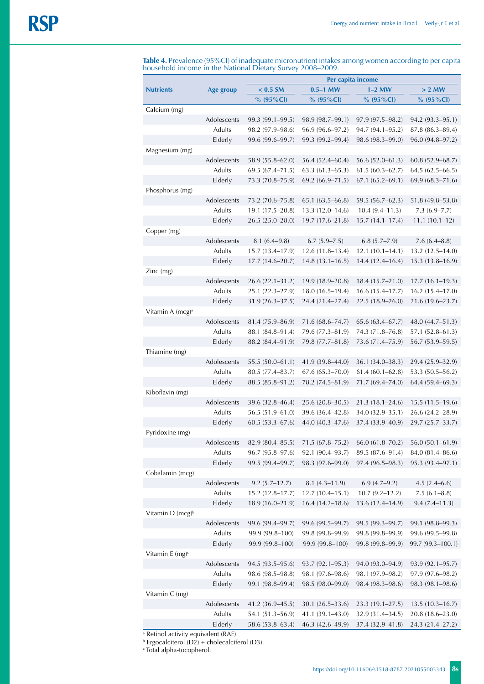**Table 4.** Prevalence (95%CI) of inadequate micronutrient intakes among women according to per capita household income in the National Dietary Survey 2008–2009.

|                              |               |                     | Per capita income   |                     |                     |
|------------------------------|---------------|---------------------|---------------------|---------------------|---------------------|
| <b>Nutrients</b>             | Age group     | $< 0.5$ SM          | $0.5-1$ MW          | $1-2$ MW            | $> 2$ MW            |
|                              |               | $% (95\% CI)$       | % $(95\%$ CI)       | $% (95\% CI)$       | $% (95\% CI)$       |
| Calcium (mg)                 |               |                     |                     |                     |                     |
|                              | Adolescents   | 99.3 (99.1-99.5)    | 98.9 (98.7-99.1)    | 97.9 (97.5–98.2)    | 94.2 (93.3-95.1)    |
|                              | <b>Adults</b> | 98.2 (97.9–98.6)    | 96.9 (96.6-97.2)    | 94.7 (94.1–95.2)    | 87.8 (86.3-89.4)    |
|                              | Elderly       | 99.6 (99.6-99.7)    | 99.3 (99.2-99.4)    | 98.6 (98.3–99.0)    | 96.0 (94.8-97.2)    |
| Magnesium (mg)               |               |                     |                     |                     |                     |
|                              | Adolescents   | 58.9 (55.8-62.0)    | 56.4 (52.4-60.4)    | $56.6(52.0 - 61.3)$ | $60.8(52.9 - 68.7)$ |
|                              | Adults        | 69.5 (67.4-71.5)    | $63.3(61.3 - 65.3)$ | $61.5(60.3 - 62.7)$ | $64.5(62.5 - 66.5)$ |
|                              | Elderly       | 73.3 (70.8-75.9)    | 69.2 (66.9-71.5)    | $67.1(65.2 - 69.1)$ | 69.9 (68.3-71.6)    |
| Phosphorus (mg)              |               |                     |                     |                     |                     |
|                              | Adolescents   | 73.2 (70.6–75.8)    | $65.1(63.5 - 66.8)$ | 59.5 (56.7–62.3)    | 51.8 (49.8–53.8)    |
|                              | Adults        | 19.1 (17.5-20.8)    | $13.3(12.0 - 14.6)$ | $10.4(9.4-11.3)$    | $7.3(6.9 - 7.7)$    |
|                              | Elderly       | 26.5 (25.0-28.0)    | $19.7(17.6 - 21.8)$ | $15.7(14.1 - 17.4)$ | $11.1(10.1-12)$     |
| Copper (mg)                  | Adolescents   |                     |                     |                     |                     |
|                              |               | $8.1(6.4-9.8)$      | $6.7(5.9 - 7.5)$    | 6.8(5.7–7.9)        | 7.6(6.4–8.8)        |
|                              | Adults        | $15.7(13.4 - 17.9)$ | $12.6(11.8-13.4)$   | $12.1(10.1 - 14.1)$ | $13.2(12.5 - 14.0)$ |
| Zinc (mg)                    | Elderly       | $17.7(14.6 - 20.7)$ | $14.8(13.1 - 16.5)$ | $14.4(12.4 - 16.4)$ | $15.3(13.8 - 16.9)$ |
|                              | Adolescents   | $26.6(22.1 - 31.2)$ | 19.9 (18.9-20.8)    | $18.4(15.7-21.0)$   | $17.7(16.1 - 19.3)$ |
|                              | <b>Adults</b> | 25.1 (22.3–27.9)    | $18.0(16.5-19.4)$   | 16.6(15.4–17.7)     | $16.2(15.4 - 17.0)$ |
|                              | Elderly       | $31.9(26.3 - 37.5)$ | 24.4 (21.4-27.4)    | $22.5(18.9 - 26.0)$ | 21.6 (19.6-23.7)    |
| Vitamin A (mcg) <sup>a</sup> |               |                     |                     |                     |                     |
|                              | Adolescents   | 81.4 (75.9-86.9)    | 71.6 (68.6–74.7)    | $65.6(63.4 - 67.7)$ | 48.0 (44.7-51.3)    |
|                              | <b>Adults</b> | 88.1 (84.8–91.4)    | 79.6 (77.3–81.9)    | 74.3 (71.8–76.8)    | 57.1 (52.8–61.3)    |
|                              | Elderly       | 88.2 (84.4-91.9)    | 79.8 (77.7-81.8)    | 73.6 (71.4–75.9)    | 56.7 (53.9-59.5)    |
| Thiamine (mg)                |               |                     |                     |                     |                     |
|                              | Adolescents   | $55.5(50.0 - 61.1)$ | 41.9 (39.8–44.0)    | 36.1 (34.0–38.3)    | 29.4 (25.9–32.9)    |
|                              | Adults        | 80.5 (77.4-83.7)    | $67.6(65.3 - 70.0)$ | $61.4(60.1 - 62.8)$ | 53.3 (50.5–56.2)    |
|                              | Elderly       | 88.5 (85.8-91.2)    | 78.2 (74.5-81.9)    | 71.7 (69.4-74.0)    | $64.4(59.4 - 69.3)$ |
| Riboflavin (mg)              |               |                     |                     |                     |                     |
|                              | Adolescents   | 39.6 (32.8-46.4)    | $25.6(20.8 - 30.5)$ | $21.3(18.1 - 24.6)$ | $15.5(11.5-19.6)$   |
|                              | Adults        | 56.5 (51.9-61.0)    | 39.6 (36.4-42.8)    | 34.0 (32.9–35.1)    | 26.6 (24.2-28.9)    |
|                              | Elderly       | $60.5(53.3 - 67.6)$ | 44.0 (40.3-47.6)    | 37.4 (33.9-40.9)    | 29.7 (25.7-33.7)    |
| Pyridoxine (mg)              |               |                     |                     |                     |                     |
|                              | Adolescents   | $82.9(80.4 - 85.5)$ | $71.5(67.8 - 75.2)$ | $66.0(61.8 - 70.2)$ | $56.0(50.1 - 61.9)$ |
|                              | Adults        | 96.7 (95.8-97.6)    | 92.1 (90.4-93.7)    | 89.5 (87.6-91.4)    | 84.0 (81.4-86.6)    |
|                              | Elderly       | 99.5 (99.4-99.7)    | 98.3 (97.6-99.0)    | 97.4 (96.5-98.3)    | 95.3 (93.4-97.1)    |
| Cobalamin (mcg)              |               |                     |                     |                     |                     |
|                              | Adolescents   | $9.2(5.7 - 12.7)$   | $8.1(4.3 - 11.9)$   | $6.9(4.7-9.2)$      | $4.5(2.4-6.6)$      |
|                              | Adults        | $15.2(12.8 - 17.7)$ | $12.7(10.4 - 15.1)$ | $10.7(9.2 - 12.2)$  | $7.5(6.1 - 8.8)$    |
|                              | Elderly       | 18.9 (16.0-21.9)    | $16.4(14.2 - 18.6)$ | 13.6 (12.4-14.9)    | $9.4(7.4 - 11.3)$   |
| Vitamin D (mcg) <sup>b</sup> |               |                     |                     |                     |                     |
|                              | Adolescents   | 99.6 (99.4-99.7)    | 99.6 (99.5-99.7)    | 99.5 (99.3-99.7)    | 99.1 (98.8-99.3)    |
|                              | Adults        | 99.9 (99.8-100)     | 99.8 (99.8-99.9)    | 99.8 (99.8-99.9)    | 99.6 (99.5-99.8)    |
|                              | Elderly       | 99.9 (99.8-100)     | 99.9 (99.8-100)     | 99.8 (99.8–99.9)    | 99.7 (99.3-100.1)   |
| Vitamin E $(mg)^c$           |               |                     |                     |                     |                     |
|                              | Adolescents   | 94.5 (93.5-95.6)    | $93.7(92.1 - 95.3)$ | 94.0 (93.0-94.9)    | $93.9(92.1 - 95.7)$ |
|                              | Adults        | 98.6 (98.5-98.8)    | 98.1 (97.6-98.6)    | 98.1 (97.9-98.2)    | 97.9 (97.6-98.2)    |
|                              | Elderly       | 99.1 (98.8-99.4)    | 98.5 (98.0-99.0)    | 98.4 (98.3-98.6)    | 98.3 (98.1-98.6)    |
| Vitamin C (mg)               | Adolescents   | 41.2 (36.9-45.5)    | $30.1(26.5-33.6)$   | $23.3(19.1 - 27.5)$ | $13.5(10.3 - 16.7)$ |
|                              | Adults        | 54.1 (51.3-56.9)    | 41.1 (39.1-43.0)    | 32.9 (31.4-34.5)    | 20.8 (18.6-23.0)    |
|                              | Elderly       | 58.6 (53.8-63.4)    | 46.3 (42.6-49.9)    | 37.4 (32.9-41.8)    | 24.3 (21.4-27.2)    |
|                              |               |                     |                     |                     |                     |

<sup>a</sup> Retinol activity equivalent (RAE).<br><sup>b</sup> Ergocalciterol (D2) + cholecalciferol (D3).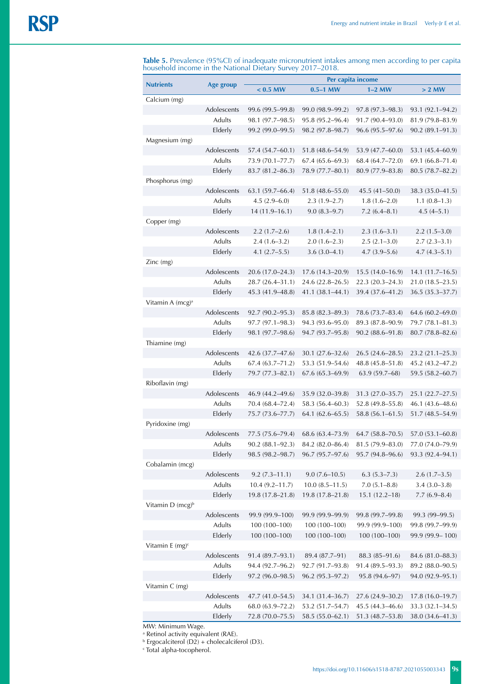|  |  |                                                            |  | Table 5. Prevalence (95%Cl) of inadequate micronutrient intakes among men according to per capita |  |
|--|--|------------------------------------------------------------|--|---------------------------------------------------------------------------------------------------|--|
|  |  | household income in the National Dietary Survey 2017–2018. |  |                                                                                                   |  |

|                               |                              |                                         | Per capita income                       |                     |                                         |
|-------------------------------|------------------------------|-----------------------------------------|-----------------------------------------|---------------------|-----------------------------------------|
| <b>Nutrients</b>              | Age group                    | $< 0.5$ MW                              | $0.5-1$ MW                              | $1-2$ MW            | $> 2$ MW                                |
| Calcium (mg)                  |                              |                                         |                                         |                     |                                         |
|                               | Adolescents                  | 99.6 (99.5-99.8)                        | 99.0 (98.9–99.2)                        | $97.8(97.3 - 98.3)$ | $93.1(92.1 - 94.2)$                     |
|                               | <b>Adults</b>                | 98.1 (97.7–98.5)                        | 95.8 (95.2-96.4)                        | 91.7 (90.4–93.0)    | 81.9 (79.8-83.9)                        |
|                               | Elderly                      | 99.2 (99.0-99.5)                        | 98.2 (97.8-98.7)                        | $96.6(95.5 - 97.6)$ | $90.2(89.1 - 91.3)$                     |
| Magnesium (mg)                |                              |                                         |                                         |                     |                                         |
|                               | Adolescents                  | 57.4 (54.7-60.1)                        | 51.8 (48.6–54.9)                        | 53.9 (47.7-60.0)    | 53.1 (45.4-60.9)                        |
|                               | Adults                       | 73.9 (70.1-77.7)                        | $67.4(65.6 - 69.3)$                     | 68.4 (64.7-72.0)    | $69.1(66.8 - 71.4)$                     |
|                               | Elderly                      | 83.7 (81.2-86.3)                        | 78.9 (77.7-80.1)                        | 80.9 (77.9-83.8)    | 80.5 (78.7-82.2)                        |
| Phosphorus (mg)               |                              |                                         |                                         |                     |                                         |
|                               | Adolescents                  | $63.1(59.7 - 66.4)$                     | $51.8(48.6 - 55.0)$                     | 45.5 (41–50.0)      | 38.3 (35.0-41.5)                        |
|                               | Adults                       | $4.5(2.9-6.0)$                          | $2.3(1.9-2.7)$                          | $1.8(1.6-2.0)$      | $1.1(0.8-1.3)$                          |
|                               | Elderly                      | $14(11.9-16.1)$                         | $9.0(8.3-9.7)$                          | $7.2(6.4 - 8.1)$    | $4.5(4-5.1)$                            |
| Copper (mg)                   |                              |                                         |                                         |                     |                                         |
|                               | Adolescents                  | $2.2(1.7-2.6)$                          | $1.8(1.4 - 2.1)$                        | $2.3(1.6-3.1)$      | $2.2(1.5-3.0)$                          |
|                               | Adults                       | $2.4(1.6-3.2)$                          | $2.0(1.6-2.3)$                          | $2.5(2.1 - 3.0)$    | $2.7(2.3-3.1)$                          |
|                               | Elderly                      | $4.1(2.7-5.5)$                          | $3.6(3.0-4.1)$                          | $4.7(3.9 - 5.6)$    | $4.7(4.3-5.1)$                          |
| Zinc (mg)                     |                              |                                         |                                         |                     |                                         |
|                               | Adolescents                  | 20.6 (17.0-24.3)                        | $17.6(14.3 - 20.9)$                     | $15.5(14.0-16.9)$   | $14.1(11.7-16.5)$                       |
|                               | Adults                       | 28.7 (26.4-31.1)                        | 24.6 (22.8–26.5)                        | $22.3(20.3 - 24.3)$ | $21.0(18.5 - 23.5)$                     |
|                               | Elderly                      | 45.3 (41.9-48.8)                        | $41.1(38.1 - 44.1)$                     | 39.4 (37.6-41.2)    | $36.5(35.3 - 37.7)$                     |
| Vitamin A (mcg) <sup>a</sup>  |                              |                                         |                                         |                     |                                         |
|                               | Adolescents<br><b>Adults</b> | $92.7(90.2 - 95.3)$                     | 85.8 (82.3-89.3)                        | 78.6 (73.7-83.4)    | $64.6(60.2 - 69.0)$                     |
|                               |                              | $97.7(97.1 - 98.3)$                     | 94.3 (93.6–95.0)                        | 89.3 (87.8-90.9)    | 79.7 (78.1-81.3)                        |
|                               | Elderly                      | 98.1 (97.7-98.6)                        | 94.7 (93.7-95.8)                        | $90.2(88.6 - 91.8)$ | $80.7(78.8 - 82.6)$                     |
| Thiamine (mg)                 | Adolescents                  |                                         |                                         |                     |                                         |
|                               | <b>Adults</b>                | 42.6 (37.7–47.6)<br>$67.4(63.7 - 71.2)$ | $30.1(27.6 - 32.6)$<br>53.3 (51.9–54.6) | $26.5(24.6 - 28.5)$ | $23.2(21.1 - 25.3)$<br>45.2 (43.2-47.2) |
|                               | Elderly                      | 79.7 (77.3-82.1)                        | $67.6(65.3 - 69.9)$                     | 48.8 (45.8–51.8)    | 59.5 (58.2-60.7)                        |
| Riboflavin (mg)               |                              |                                         |                                         | 63.9(59.7–68)       |                                         |
|                               | Adolescents                  | 46.9 (44.2-49.6)                        | 35.9 (32.0-39.8)                        | 31.3 (27.0-35.7)    | $25.1(22.7 - 27.5)$                     |
|                               | Adults                       | 70.4 (68.4–72.4)                        | 58.3 (56.4–60.3)                        | 52.8 (49.8–55.8)    | 46.1 (43.6-48.6)                        |
|                               | Elderly                      | 75.7 (73.6-77.7)                        | $64.1(62.6 - 65.5)$                     | $58.8(56.1 - 61.5)$ | $51.7(48.5 - 54.9)$                     |
| Pyridoxine (mg)               |                              |                                         |                                         |                     |                                         |
|                               | Adolescents                  | 77.5 (75.6-79.4)                        | 68.6 (63.4–73.9)                        | $64.7(58.8 - 70.5)$ | $57.0(53.1 - 60.8)$                     |
|                               | Adults                       | $90.2 (88.1 - 92.3)$                    | 84.2 (82.0-86.4)                        | 81.5 (79.9-83.0)    | 77.0 (74.0-79.9)                        |
|                               | Elderly                      | 98.5 (98.2-98.7)                        | $96.7(95.7-97.6)$                       | 95.7 (94.8-96.6)    | 93.3 (92.4-94.1)                        |
| Cobalamin (mcg)               |                              |                                         |                                         |                     |                                         |
|                               | Adolescents                  | $9.2(7.3 - 11.1)$                       | $9.0(7.6 - 10.5)$                       | $6.3(5.3 - 7.3)$    | $2.6(1.7-3.5)$                          |
|                               | Adults                       | $10.4(9.2 - 11.7)$                      | $10.0(8.5 - 11.5)$                      | $7.0(5.1 - 8.8)$    | $3.4(3.0-3.8)$                          |
|                               | Elderly                      | 19.8 (17.8–21.8)                        | 19.8 (17.8-21.8)                        | $15.1(12.2 - 18)$   | $7.7(6.9 - 8.4)$                        |
| Vitamin D (mcg) <sup>b</sup>  |                              |                                         |                                         |                     |                                         |
|                               | Adolescents                  | 99.9 (99.9-100)                         | 99.9 (99.9-99.9)                        | 99.8 (99.7-99.8)    | 99.3 (99-99.5)                          |
|                               | Adults                       | 100 (100-100)                           | 100 (100-100)                           | 99.9 (99.9-100)     | 99.8 (99.7-99.9)                        |
|                               | Elderly                      | 100 (100-100)                           | 100 (100-100)                           | 100 (100-100)       | 99.9 (99.9 - 100)                       |
| Vitamin $E$ (mg) <sup>c</sup> |                              |                                         |                                         |                     |                                         |
|                               | Adolescents                  | 91.4 (89.7-93.1)                        | 89.4 (87.7-91)                          | 88.3 (85-91.6)      | 84.6 (81.0-88.3)                        |
|                               | Adults                       | 94.4 (92.7-96.2)                        | 92.7 (91.7-93.8)                        | $91.4(89.5-93.3)$   | 89.2 (88.0-90.5)                        |
|                               | Elderly                      | 97.2 (96.0-98.5)                        | 96.2 (95.3-97.2)                        | 95.8 (94.6-97)      | 94.0 (92.9-95.1)                        |
| Vitamin C (mg)                |                              |                                         |                                         |                     |                                         |
|                               | Adolescents                  | 47.7 (41.0-54.5)                        | 34.1 (31.4-36.7)                        | 27.6 (24.9-30.2)    | $17.8(16.0-19.7)$                       |
|                               | Adults                       | 68.0 (63.9-72.2)                        | 53.2 (51.7-54.7)                        | 45.5 (44.3-46.6)    | 33.3 (32.1-34.5)                        |
|                               | Elderly                      | 72.8 (70.0-75.5)                        | 58.5 (55.0-62.1)                        | 51.3 (48.7–53.8)    | 38.0 (34.6-41.3)                        |
|                               |                              |                                         |                                         |                     |                                         |

MW: Minimum Wage.<br>ª Retinol activity equivalent (RAE).<br><sup>b</sup> Ergocalciterol (D2) + cholecalciferol (D3).<br><sup>c</sup> Total alpha-tocopherol.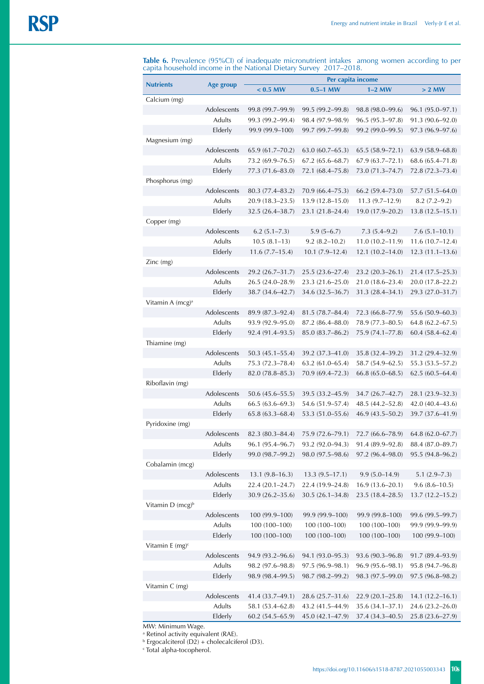**Table 6.** Prevalence (95%CI) of inadequate micronutrient intakes among women according to per capita household income in the National Dietary Survey 2017–2018.

|                               |               |                     | Per capita income   |                     |                     |
|-------------------------------|---------------|---------------------|---------------------|---------------------|---------------------|
| <b>Nutrients</b>              | Age group     | $< 0.5$ MW          | $0.5-1$ MW          | $1-2$ MW            | $> 2$ MW            |
| Calcium (mg)                  |               |                     |                     |                     |                     |
|                               | Adolescents   | 99.8 (99.7-99.9)    | 99.5 (99.2–99.8)    | 98.8 (98.0-99.6)    | 96.1 (95.0-97.1)    |
|                               | Adults        | 99.3 (99.2-99.4)    | 98.4 (97.9-98.9)    | 96.5 (95.3-97.8)    | 91.3 (90.6-92.0)    |
|                               | Elderly       | 99.9 (99.9-100)     | 99.7 (99.7-99.8)    | 99.2 (99.0-99.5)    | 97.3 (96.9-97.6)    |
| Magnesium (mg)                |               |                     |                     |                     |                     |
|                               | Adolescents   | $65.9(61.7 - 70.2)$ | $63.0(60.7-65.3)$   | $65.5(58.9 - 72.1)$ | $63.9(58.9 - 68.8)$ |
|                               | <b>Adults</b> | 73.2 (69.9-76.5)    | $67.2(65.6 - 68.7)$ | $67.9(63.7 - 72.1)$ | $68.6(65.4 - 71.8)$ |
|                               | Elderly       | 77.3 (71.6-83.0)    | 72.1 (68.4-75.8)    | 73.0 (71.3-74.7)    | 72.8 (72.3-73.4)    |
| Phosphorus (mg)               |               |                     |                     |                     |                     |
|                               | Adolescents   | 80.3 (77.4-83.2)    | $70.9(66.4 - 75.3)$ | $66.2(59.4 - 73.0)$ | $57.7(51.5 - 64.0)$ |
|                               | Adults        | 20.9 (18.3–23.5)    | $13.9(12.8 - 15.0)$ | $11.3(9.7-12.9)$    | $8.2(7.2 - 9.2)$    |
|                               | Elderly       | $32.5(26.4 - 38.7)$ | 23.1 (21.8-24.4)    | 19.0 (17.9-20.2)    | $13.8(12.5 - 15.1)$ |
| Copper (mg)                   |               |                     |                     |                     |                     |
|                               | Adolescents   | $6.2(5.1 - 7.3)$    | $5.9(5-6.7)$        | $7.3(5.4-9.2)$      | $7.6(5.1 - 10.1)$   |
|                               | Adults        | $10.5(8.1-13)$      | $9.2(8.2 - 10.2)$   | $11.0(10.2 - 11.9)$ | $11.6(10.7-12.4)$   |
|                               | Elderly       | $11.6 (7.7 - 15.4)$ | $10.1(7.9 - 12.4)$  | $12.1(10.2 - 14.0)$ | $12.3(11.1-13.6)$   |
| Zinc (mg)                     |               |                     |                     |                     |                     |
|                               | Adolescents   | 29.2 (26.7-31.7)    | 25.5 (23.6-27.4)    | 23.2 (20.3-26.1)    | 21.4 (17.5-25.3)    |
|                               | Adults        | 26.5 (24.0-28.9)    | 23.3 (21.6-25.0)    | 21.0 (18.6-23.4)    | 20.0 (17.8-22.2)    |
|                               | Elderly       | 38.7 (34.6-42.7)    | 34.6 (32.5-36.7)    | 31.3 (28.4–34.1)    | 29.3 (27.0-31.7)    |
| Vitamin A (mcg) <sup>a</sup>  |               |                     |                     |                     |                     |
|                               | Adolescents   | 89.9 (87.3-92.4)    | 81.5 (78.7-84.4)    | 72.3 (66.8-77.9)    | 55.6 (50.9-60.3)    |
|                               | Adults        | 93.9 (92.9-95.0)    | 87.2 (86.4-88.0)    | 78.9 (77.3-80.5)    | $64.8(62.2 - 67.5)$ |
|                               | Elderly       | 92.4 (91.4-93.5)    | 85.0 (83.7-86.2)    | 75.9 (74.1-77.8)    | $60.4(58.4 - 62.4)$ |
| Thiamine (mg)                 |               |                     |                     |                     |                     |
|                               | Adolescents   | $50.3(45.1 - 55.4)$ | 39.2 (37.3-41.0)    | 35.8 (32.4-39.2)    | 31.2 (29.4-32.9)    |
|                               | Adults        | 75.3 (72.3-78.4)    | $63.2(61.0 - 65.4)$ | 58.7 (54.9–62.5)    | 55.3 (53.5–57.2)    |
|                               | Elderly       | 82.0 (78.8-85.3)    | 70.9 (69.4-72.3)    | $66.8(65.0 - 68.5)$ | $62.5(60.5-64.4)$   |
| Riboflavin (mg)               |               |                     |                     |                     |                     |
|                               | Adolescents   | $50.6(45.6 - 55.5)$ | 39.5 (33.2-45.9)    | 34.7 (26.7-42.7)    | 28.1 (23.9-32.3)    |
|                               | Adults        | $66.5(63.6 - 69.3)$ | 54.6 (51.9-57.4)    | 48.5 (44.2-52.8)    | 42.0 (40.4-43.6)    |
|                               | Elderly       | $65.8(63.3 - 68.4)$ | 53.3 (51.0-55.6)    | $46.9(43.5 - 50.2)$ | 39.7 (37.6-41.9)    |
| Pyridoxine (mg)               |               |                     |                     |                     |                     |
|                               | Adolescents   | 82.3 (80.3-84.4)    | 75.9 (72.6-79.1)    | 72.7 (66.6-78.9)    | $64.8(62.0 - 67.7)$ |
|                               | Adults        | 96.1 (95.4-96.7)    | 93.2 (92.0-94.3)    | 91.4 (89.9-92.8)    | 88.4 (87.0-89.7)    |
|                               | Elderly       | 99.0 (98.7-99.2)    | 98.0 (97.5-98.6)    | 97.2 (96.4-98.0)    | 95.5 (94.8-96.2)    |
| Cobalamin (mcg)               |               |                     |                     |                     |                     |
|                               | Adolescents   | $13.1 (9.8 - 16.3)$ | $13.3(9.5 - 17.1)$  | $9.9(5.0 - 14.9)$   | $5.1(2.9 - 7.3)$    |
|                               | Adults        | 22.4 (20.1-24.7)    | 22.4 (19.9-24.8)    | $16.9(13.6 - 20.1)$ | $9.6(8.6 - 10.5)$   |
|                               | Elderly       | $30.9(26.2 - 35.6)$ | $30.5(26.1 - 34.8)$ | $23.5(18.4 - 28.5)$ | $13.7(12.2 - 15.2)$ |
| Vitamin D (mcg) <sup>b</sup>  |               |                     |                     |                     |                     |
|                               | Adolescents   | 100 (99.9-100)      | 99.9 (99.9-100)     | 99.9 (99.8-100)     | 99.6 (99.5-99.7)    |
|                               | Adults        | 100 (100-100)       | 100 (100-100)       | 100 (100-100)       | 99.9 (99.9-99.9)    |
|                               | Elderly       | 100 (100-100)       | 100 (100-100)       | 100 (100-100)       | 100 (99.9-100)      |
| Vitamin $E$ (mg) <sup>c</sup> |               |                     |                     |                     |                     |
|                               | Adolescents   | 94.9 (93.2-96.6)    | 94.1 (93.0-95.3)    | 93.6 (90.3-96.8)    | 91.7 (89.4-93.9)    |
|                               | Adults        | 98.2 (97.6-98.8)    | 97.5 (96.9-98.1)    | 96.9 (95.6-98.1)    | 95.8 (94.7-96.8)    |
|                               | Elderly       | 98.9 (98.4-99.5)    | 98.7 (98.2-99.2)    | 98.3 (97.5-99.0)    | 97.5 (96.8-98.2)    |
| Vitamin C (mg)                |               |                     |                     |                     |                     |
|                               | Adolescents   | 41.4 (33.7-49.1)    | 28.6 (25.7-31.6)    | $22.9(20.1 - 25.8)$ | $14.1(12.2 - 16.1)$ |
|                               | Adults        | 58.1 (53.4-62.8)    | 43.2 (41.5-44.9)    | $35.6(34.1 - 37.1)$ | 24.6 (23.2-26.0)    |
|                               |               |                     |                     |                     |                     |
|                               | Elderly       | 60.2 (54.5-65.9)    | 45.0 (42.1-47.9)    | 37.4 (34.3-40.5)    | 25.8 (23.6-27.9)    |

MW: Minimum Wage.

<sup>a</sup> Retinol activity equivalent (RAE).<br><sup>b</sup> Ergocalciterol (D2) + cholecalciferol (D3).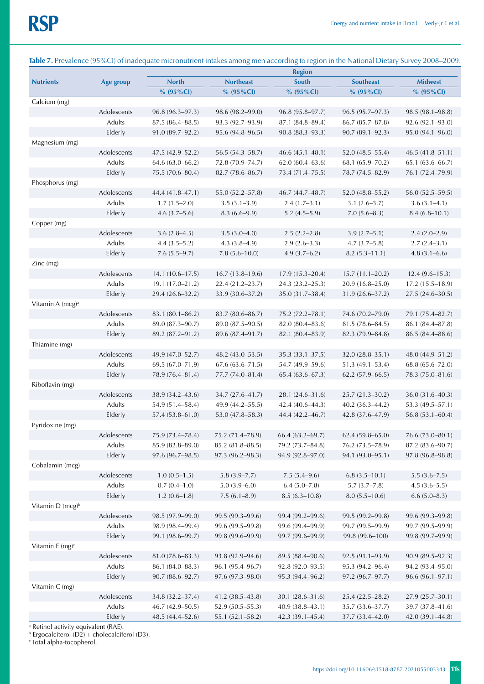|                                |                       |                                      |                                      | <b>Region</b>                        |                                         |                                      |
|--------------------------------|-----------------------|--------------------------------------|--------------------------------------|--------------------------------------|-----------------------------------------|--------------------------------------|
| <b>Nutrients</b>               | Age group             | <b>North</b>                         | <b>Northeast</b>                     | <b>South</b>                         | <b>Southeast</b>                        | <b>Midwest</b>                       |
|                                |                       | $% (95\% CI)$                        | % $(95\%$ CI)                        | $% (95\% CI)$                        | % $(95\%$ CI)                           | % $(95\%$ CI)                        |
| Calcium (mg)                   |                       |                                      |                                      |                                      |                                         |                                      |
|                                | Adolescents           | 96.8 (96.3-97.3)                     | 98.6 (98.2–99.0)                     | $96.8(95.8 - 97.7)$                  | $96.5(95.7-97.3)$                       | $98.5(98.1 - 98.8)$                  |
|                                | Adults                | $87.5(86.4 - 88.5)$                  | 93.3 (92.7–93.9)                     | $87.1 (84.8 - 89.4)$                 | $86.7 (85.7 - 87.8)$                    | $92.6(92.1 - 93.0)$                  |
|                                | Elderly               | $91.0(89.7 - 92.2)$                  | $95.6(94.8 - 96.5)$                  | $90.8(88.3 - 93.3)$                  | $90.7(89.1 - 92.3)$                     | $95.0(94.1 - 96.0)$                  |
| Magnesium (mg)                 |                       |                                      |                                      |                                      |                                         |                                      |
|                                | Adolescents           | $47.5(42.9 - 52.2)$                  | 56.5 (54.3-58.7)                     | $46.6(45.1 - 48.1)$                  | $52.0(48.5 - 55.4)$                     | $46.5(41.8 - 51.1)$                  |
|                                | <b>Adults</b>         | $64.6(63.0 - 66.2)$                  | 72.8 (70.9-74.7)                     | 62.0(60.4–63.6)                      | 68.1 (65.9-70.2)                        | $65.1(63.6 - 66.7)$                  |
|                                | Elderly               | 75.5 (70.6-80.4)                     | $82.7(78.6 - 86.7)$                  | 73.4 (71.4–75.5)                     | 78.7 (74.5-82.9)                        | 76.1 (72.4–79.9)                     |
| Phosphorus (mg)                |                       |                                      |                                      |                                      |                                         |                                      |
|                                | Adolescents<br>Adults | 44.4 (41.8-47.1)<br>$1.7(1.5-2.0)$   | 55.0 (52.2-57.8)<br>$3.5(3.1 - 3.9)$ | 46.7 (44.7–48.7)                     | $52.0(48.8 - 55.2)$<br>$3.1(2.6 - 3.7)$ | $56.0(52.5-59.5)$                    |
|                                | Elderly               | $4.6(3.7-5.6)$                       | $8.3(6.6-9.9)$                       | $2.4(1.7-3.1)$<br>$5.2(4.5-5.9)$     | $7.0(5.6-8.3)$                          | $3.6(3.1-4.1)$<br>$8.4(6.8 - 10.1)$  |
| Copper (mg)                    |                       |                                      |                                      |                                      |                                         |                                      |
|                                | Adolescents           | $3.6(2.8-4.5)$                       | $3.5(3.0-4.0)$                       | $2.5(2.2 - 2.8)$                     | $3.9(2.7-5.1)$                          | $2.4(2.0-2.9)$                       |
|                                | <b>Adults</b>         | $4.4(3.5-5.2)$                       | $4.3(3.8-4.9)$                       | $2.9(2.6-3.3)$                       | $4.7(3.7-5.8)$                          | $2.7(2.4-3.1)$                       |
|                                | Elderly               | $7.6(5.5-9.7)$                       | $7.8(5.6 - 10.0)$                    | $4.9(3.7-6.2)$                       | $8.2(5.3 - 11.1)$                       | $4.8(3.1 - 6.6)$                     |
| Zinc (mg)                      |                       |                                      |                                      |                                      |                                         |                                      |
|                                | Adolescents           | $14.1(10.6 - 17.5)$                  | $16.7(13.8-19.6)$                    | $17.9(15.3 - 20.4)$                  | $15.7(11.1 - 20.2)$                     | $12.4(9.6 - 15.3)$                   |
|                                | Adults                | $19.1(17.0 - 21.2)$                  | $22.4(21.2 - 23.7)$                  | 24.3 (23.2-25.3)                     | $20.9(16.8 - 25.0)$                     | $17.2(15.5 - 18.9)$                  |
|                                | Elderly               | 29.4 (26.6–32.2)                     | 33.9 (30.6-37.2)                     | 35.0 (31.7-38.4)                     | $31.9(26.6 - 37.2)$                     | $27.5(24.6 - 30.5)$                  |
| Vitamin A (mcg) <sup>a</sup>   |                       |                                      |                                      |                                      |                                         |                                      |
|                                | Adolescents           | $83.1 (80.1 - 86.2)$                 | $83.7(80.6 - 86.7)$                  | 75.2 (72.2–78.1)                     | 74.6 (70.2–79.0)                        | 79.1 (75.4–82.7)                     |
|                                | Adults                | 89.0 (87.3-90.7)                     | 89.0 (87.5–90.5)                     | 82.0(80.4–83.6)                      | $81.5(78.6 - 84.5)$                     | 86.1 (84.4–87.8)                     |
|                                | Elderly               | 89.2 (87.2-91.2)                     | 89.6 (87.4–91.7)                     | 82.1 (80.4-83.9)                     | 82.3 (79.9-84.8)                        | 86.5 (84.4-88.6)                     |
| Thiamine (mg)                  |                       |                                      |                                      |                                      |                                         |                                      |
|                                | Adolescents           | 49.9 (47.0–52.7)                     | $48.2(43.0 - 53.5)$                  | $35.3(33.1 - 37.5)$                  | $32.0(28.8 - 35.1)$                     | 48.0 (44.9-51.2)                     |
|                                | Adults                | $69.5(67.0 - 71.9)$                  | $67.6(63.6 - 71.5)$                  | 54.7 (49.9-59.6)                     | $51.3(49.1 - 53.4)$                     | $68.8(65.6 - 72.0)$                  |
|                                | Elderly               | 78.9 (76.4-81.4)                     | 77.7 (74.0-81.4)                     | $65.4(63.6 - 67.3)$                  | $62.2(57.9 - 66.5)$                     | 78.3 (75.0-81.6)                     |
| Riboflavin (mg)                |                       |                                      |                                      |                                      |                                         |                                      |
|                                | Adolescents           | 38.9 (34.2–43.6)                     | 34.7 (27.6-41.7)                     | 28.1 (24.6-31.6)                     | $25.7(21.3 - 30.2)$                     | $36.0(31.6 - 40.3)$                  |
|                                | Adults                | 54.9 (51.4-58.4)                     | 49.9 (44.2–55.5)                     | 42.4 (40.6-44.3)                     | $40.2(36.3-44.2)$                       | 53.3 (49.5-57.1)                     |
|                                | Elderly               | $57.4(53.8 - 61.0)$                  | $53.0(47.8 - 58.3)$                  | 44.4 (42.2-46.7)                     | 42.8 (37.6-47.9)                        | $56.8(53.1 - 60.4)$                  |
| Pyridoxine (mg)                |                       |                                      |                                      |                                      |                                         |                                      |
|                                | Adolescents<br>Adults | 75.9 (73.4-78.4)<br>85.9 (82.8-89.0) | 75.2 (71.4-78.9)                     | $66.4(63.2 - 69.7)$                  | $62.4(59.8 - 65.0)$<br>76.2 (73.5-78.9) | 76.6 (73.0-80.1)                     |
|                                | Elderly               | 97.6 (96.7-98.5)                     | 85.2 (81.8-88.5)<br>97.3 (96.2-98.3) | 79.2 (73.7-84.8)<br>94.9 (92.8-97.0) | 94.1 (93.0-95.1)                        | 87.2 (83.6-90.7)<br>97.8 (96.8-98.8) |
| Cobalamin (mcg)                |                       |                                      |                                      |                                      |                                         |                                      |
|                                | Adolescents           | $1.0(0.5-1.5)$                       | $5.8(3.9 - 7.7)$                     | $7.5(5.4-9.6)$                       | $6.8(3.5 - 10.1)$                       | $5.5(3.6 - 7.5)$                     |
|                                | Adults                | $0.7(0.4 - 1.0)$                     | $5.0(3.9-6.0)$                       | $6.4(5.0 - 7.8)$                     | $5.7(3.7-7.8)$                          | $4.5(3.6 - 5.5)$                     |
|                                | Elderly               | $1.2(0.6-1.8)$                       | $7.5(6.1-8.9)$                       | $8.5(6.3-10.8)$                      | $8.0(5.5 - 10.6)$                       | $6.6(5.0 - 8.3)$                     |
| Vitamin $D$ (mcg) <sup>b</sup> |                       |                                      |                                      |                                      |                                         |                                      |
|                                | Adolescents           | 98.5 (97.9-99.0)                     | 99.5 (99.3-99.6)                     | 99.4 (99.2-99.6)                     | 99.5 (99.2-99.8)                        | 99.6 (99.3-99.8)                     |
|                                | Adults                | 98.9 (98.4-99.4)                     | 99.6 (99.5-99.8)                     | 99.6 (99.4-99.9)                     | 99.7 (99.5-99.9)                        | 99.7 (99.5-99.9)                     |
|                                | Elderly               | 99.1 (98.6-99.7)                     | 99.8 (99.6–99.9)                     | 99.7 (99.6-99.9)                     | 99.8 (99.6-100)                         | 99.8 (99.7-99.9)                     |
| Vitamin E $(mg)^c$             |                       |                                      |                                      |                                      |                                         |                                      |
|                                | Adolescents           | 81.0 (78.6-83.3)                     | 93.8 (92.9-94.6)                     | 89.5 (88.4-90.6)                     | 92.5 (91.1-93.9)                        | $90.9(89.5 - 92.3)$                  |
|                                | Adults                | 86.1 (84.0-88.3)                     | 96.1 (95.4-96.7)                     | 92.8 (92.0-93.5)                     | 95.3 (94.2-96.4)                        | 94.2 (93.4-95.0)                     |
|                                | Elderly               | $90.7(88.6 - 92.7)$                  | $97.6(97.3 - 98.0)$                  | 95.3 (94.4-96.2)                     | $97.2(96.7 - 97.7)$                     | $96.6(96.1 - 97.1)$                  |
| Vitamin C (mg)                 |                       |                                      |                                      |                                      |                                         |                                      |
|                                | Adolescents           | 34.8 (32.2-37.4)                     | 41.2 (38.5–43.8)                     | $30.1(28.6 - 31.6)$                  | $25.4(22.5 - 28.2)$                     | $27.9(25.7 - 30.1)$                  |
|                                | Adults                | $46.7(42.9 - 50.5)$                  | $52.9(50.5 - 55.3)$                  | 40.9 (38.8-43.1)                     | 35.7 (33.6-37.7)                        | 39.7 (37.8-41.6)                     |
|                                | Elderly               | 48.5 (44.4-52.6)                     | 55.1 (52.1-58.2)                     | 42.3 (39.1-45.4)                     | 37.7 (33.4-42.0)                        | 42.0 (39.1-44.8)                     |

# **Table 7.** Prevalence (95%CI) of inadequate micronutrient intakes among men according to region in the National Dietary Survey 2008–2009.

<sup>a</sup> Retinol activity equivalent (RAE).<br><sup>b</sup> Ergocalciterol (D2) + cholecalciferol (D3).<br><sup>c</sup> Total alpha-tocopherol.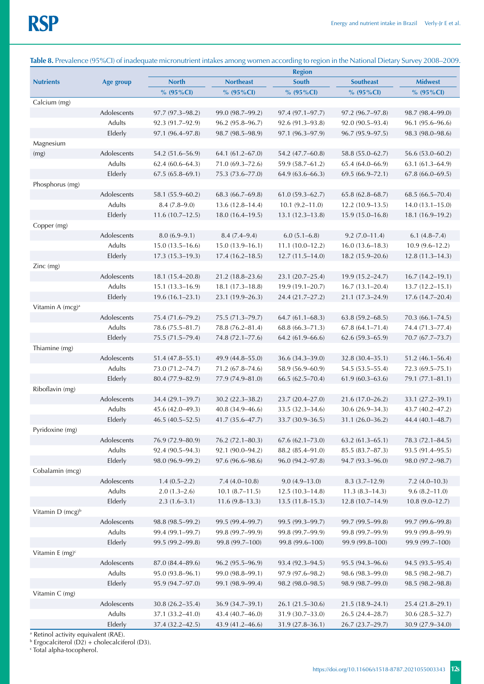|                              |                       | <b>Region</b>       |                     |                             |                     |                     |
|------------------------------|-----------------------|---------------------|---------------------|-----------------------------|---------------------|---------------------|
| <b>Nutrients</b>             | Age group             | <b>North</b>        | <b>Northeast</b>    | South                       | <b>Southeast</b>    | <b>Midwest</b>      |
|                              |                       | $% (95\% CI)$       | % $(95\%$ CI)       | $% (95\% CI)$               | $% (95\% CI)$       | $% (95\% CI)$       |
| Calcium (mg)                 |                       |                     |                     |                             |                     |                     |
|                              | Adolescents           | $97.7(97.3 - 98.2)$ | 99.0 (98.7–99.2)    | $97.4(97.1 - 97.7)$         | $97.2(96.7-97.8)$   | 98.7 (98.4–99.0)    |
|                              | Adults                | 92.3 (91.7–92.9)    | $96.2(95.8 - 96.7)$ | $92.6(91.3 - 93.8)$         | $92.0(90.5 - 93.4)$ | $96.1(95.6 - 96.6)$ |
|                              | Elderly               | 97.1 (96.4-97.8)    | 98.7 (98.5–98.9)    | 97.1 (96.3-97.9)            | $96.7(95.9 - 97.5)$ | 98.3 (98.0–98.6)    |
| Magnesium                    |                       |                     |                     |                             |                     |                     |
| (mg)                         | Adolescents           | 54.2 (51.6-56.9)    | 64.1 (61.2-67.0)    | 54.2 (47.7-60.8)            | 58.8 (55.0-62.7)    | 56.6 (53.0-60.2)    |
|                              | Adults                | $62.4(60.6 - 64.3)$ | $71.0(69.3 - 72.6)$ | 59.9 (58.7-61.2)            | $65.4(64.0 - 66.9)$ | $63.1(61.3 - 64.9)$ |
|                              | Elderly               | $67.5(65.8 - 69.1)$ | 75.3 (73.6-77.0)    | $64.9(63.6 - 66.3)$         | $69.5(66.9 - 72.1)$ | $67.8(66.0 - 69.5)$ |
| Phosphorus (mg)              |                       |                     |                     |                             |                     |                     |
|                              | Adolescents           | 58.1 (55.9–60.2)    | $68.3(66.7-69.8)$   | $61.0(59.3 - 62.7)$         | $65.8(62.8 - 68.7)$ | $68.5(66.5 - 70.4)$ |
|                              | Adults                | $8.4(7.8-9.0)$      | $13.6(12.8 - 14.4)$ | $10.1(9.2 - 11.0)$          | $12.2(10.9-13.5)$   | $14.0(13.1 - 15.0)$ |
|                              | Elderly               | $11.6(10.7-12.5)$   | $18.0(16.4-19.5)$   | $13.1(12.3 - 13.8)$         | $15.9(15.0-16.8)$   | $18.1(16.9-19.2)$   |
| Copper (mg)                  |                       |                     |                     |                             |                     |                     |
|                              | Adolescents           | $8.0(6.9-9.1)$      | $8.4(7.4-9.4)$      | $6.0(5.1 - 6.8)$            | $9.2(7.0 - 11.4)$   | $6.1(4.8 - 7.4)$    |
|                              | Adults                | $15.0(13.5 - 16.6)$ | $15.0(13.9-16.1)$   | $11.1(10.0-12.2)$           | $16.0(13.6 - 18.3)$ | $10.9(9.6-12.2)$    |
|                              | Elderly               | $17.3(15.3 - 19.3)$ | $17.4(16.2 - 18.5)$ | $12.7(11.5 - 14.0)$         | 18.2 (15.9-20.6)    | $12.8(11.3 - 14.3)$ |
| $Zinc$ (mg)                  |                       |                     |                     |                             |                     |                     |
|                              | Adolescents<br>Adults | $18.1(15.4 - 20.8)$ | $21.2(18.8-23.6)$   | 23.1 (20.7-25.4)            | 19.9 (15.2–24.7)    | $16.7(14.2 - 19.1)$ |
|                              |                       | $15.1(13.3 - 16.9)$ | $18.1(17.3 - 18.8)$ | 19.9 (19.1-20.7)            | $16.7(13.1 - 20.4)$ | $13.7(12.2 - 15.1)$ |
|                              | Elderly               | $19.6(16.1-23.1)$   | 23.1 (19.9-26.3)    | 24.4 (21.7-27.2)            | 21.1 (17.3-24.9)    | $17.6(14.7-20.4)$   |
| Vitamin A (mcg) <sup>a</sup> | Adolescents           | 75.4 (71.6-79.2)    |                     | $64.7(61.1 - 68.3)$         |                     | $70.3(66.1 - 74.5)$ |
|                              | Adults                |                     | 75.5 (71.3–79.7)    | $68.8(66.3 - 71.3)$         | $63.8(59.2 - 68.5)$ |                     |
|                              |                       | 78.6 (75.5–81.7)    | 78.8 (76.2-81.4)    |                             | $67.8(64.1 - 71.4)$ | 74.4 (71.3-77.4)    |
|                              | Elderly               | 75.5 (71.5-79.4)    | 74.8 (72.1–77.6)    | 64.2 (61.9-66.6)            | $62.6(59.3 - 65.9)$ | 70.7 (67.7-73.7)    |
| Thiamine (mg)                | Adolescents           | $51.4(47.8 - 55.1)$ | 49.9 (44.8-55.0)    | 36.6 (34.3-39.0)            | 32.8 (30.4-35.1)    | $51.2(46.1 - 56.4)$ |
|                              | Adults                | 73.0 (71.2-74.7)    | 71.2 (67.8-74.6)    | 58.9 (56.9-60.9)            | 54.5 (53.5-55.4)    | 72.3 (69.5–75.1)    |
|                              | Elderly               | 80.4 (77.9-82.9)    | 77.9 (74.9–81.0)    | $66.5(62.5 - 70.4)$         | $61.9(60.3 - 63.6)$ | 79.1 (77.1-81.1)    |
| Riboflavin (mg)              |                       |                     |                     |                             |                     |                     |
|                              | Adolescents           | 34.4 (29.1–39.7)    | $30.2(22.3 - 38.2)$ | 23.7 (20.4-27.0)            | $21.6(17.0 - 26.2)$ | 33.1 (27.2–39.1)    |
|                              | Adults                | 45.6 (42.0-49.3)    | 40.8 (34.9-46.6)    | 33.5 (32.3-34.6)            | $30.6(26.9 - 34.3)$ | 43.7 (40.2–47.2)    |
|                              | Elderly               | $46.5(40.5-52.5)$   | $41.7(35.6 - 47.7)$ | 33.7 (30.9-36.5)            | $31.1(26.0 - 36.2)$ | 44.4 (40.1-48.7)    |
| Pyridoxine (mg)              |                       |                     |                     |                             |                     |                     |
|                              | Adolescents           | 76.9 (72.9-80.9)    | 76.2 (72.1-80.3)    | $67.6(62.1 - 73.0)$         | $63.2(61.3 - 65.1)$ | 78.3 (72.1-84.5)    |
|                              | Adults                | 92.4 (90.5-94.3)    | 92.1 (90.0-94.2)    | 88.2 (85.4-91.0)            | 85.5 (83.7-87.3)    | 93.5 (91.4-95.5)    |
|                              | Elderly               | 98.0 (96.9-99.2)    | 97.6 (96.6-98.6)    | 96.0 (94.2-97.8)            | 94.7 (93.3-96.0)    | 98.0 (97.2-98.7)    |
| Cobalamin (mcg)              |                       |                     |                     |                             |                     |                     |
|                              | Adolescents           | $1.4(0.5-2.2)$      | $7.4(4.0-10.8)$     | $9.0(4.9-13.0)$             | $8.3(3.7-12.9)$     | $7.2(4.0-10.3)$     |
|                              | Adults                | $2.0(1.3-2.6)$      | $10.1 (8.7 - 11.5)$ | $12.5(10.3 - 14.8)$         | $11.3(8.3 - 14.3)$  | $9.6(8.2 - 11.0)$   |
|                              | Elderly               | $2.3(1.6-3.1)$      | $11.6(9.8-13.3)$    | $13.5(11.8 - 15.3)$         | 12.8 (10.7-14.9)    | $10.8(9.0 - 12.7)$  |
| Vitamin D (mcg) <sup>b</sup> |                       |                     |                     |                             |                     |                     |
|                              | Adolescents           | 98.8 (98.5-99.2)    | 99.5 (99.4-99.7)    | 99.5 (99.3-99.7)            | 99.7 (99.5-99.8)    | 99.7 (99.6-99.8)    |
|                              | Adults                | 99.4 (99.1-99.7)    | 99.8 (99.7-99.9)    | 99.8 (99.7-99.9)            | 99.8 (99.7-99.9)    | 99.9 (99.8-99.9)    |
|                              | Elderly               | 99.5 (99.2-99.8)    | 99.8 (99.7-100)     | 99.8 (99.6-100)             | 99.9 (99.8-100)     | 99.9 (99.7-100)     |
| Vitamin E $(mg)^c$           |                       |                     |                     |                             |                     |                     |
|                              | Adolescents           | 87.0 (84.4-89.6)    | 96.2 (95.5-96.9)    | 93.4 (92.3-94.5)            | 95.5 (94.3-96.6)    | 94.5 (93.5-95.4)    |
|                              | Adults                | 95.0 (93.8-96.1)    | 99.0 (98.8-99.1)    | 97.9 (97.6-98.2)            | 98.6 (98.3-99.0)    | 98.5 (98.2-98.7)    |
|                              | Elderly               | 95.9 (94.7-97.0)    | 99.1 (98.9-99.4)    | 98.2 (98.0-98.5)            | 98.9 (98.7-99.0)    | 98.5 (98.2-98.8)    |
| Vitamin C (mg)               |                       |                     |                     |                             |                     |                     |
|                              | Adolescents           | $30.8(26.2 - 35.4)$ | 36.9 (34.7-39.1)    | 26.1 (21.5-30.6)            | $21.5(18.9 - 24.1)$ | 25.4 (21.8-29.1)    |
|                              | Adults                | 37.1 (33.2-41.0)    | 43.4 (40.7-46.0)    | $31.9\ (30.7\text{--}33.0)$ | 26.5 (24.4-28.7)    | 30.6 (28.5-32.7)    |
|                              | Elderly               | 37.4 (32.2-42.5)    | 43.9 (41.2-46.6)    | 31.9 (27.8-36.1)            | 26.7 (23.7-29.7)    | 30.9 (27.9-34.0)    |

# **Table 8.** Prevalence (95%CI) of inadequate micronutrient intakes among women according to region in the National Dietary Survey 2008–2009.

<sup>a</sup> Retinol activity equivalent (RAE).<br><sup>b</sup> Ergocalciterol (D2) + cholecalciferol (D3).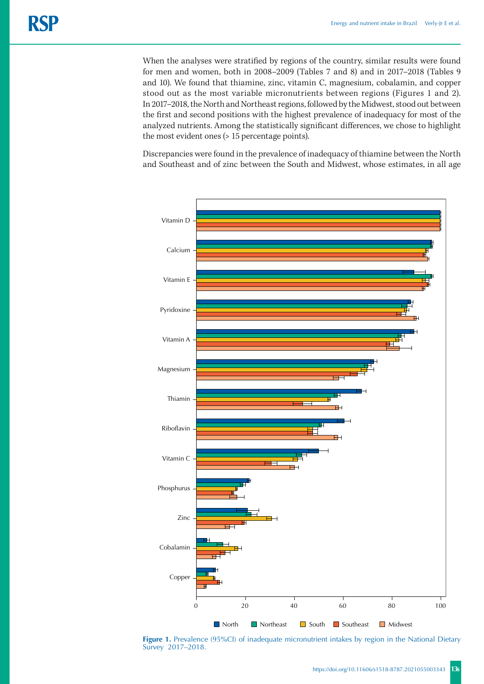When the analyses were stratified by regions of the country, similar results were found for men and women, both in 2008–2009 (Tables 7 and 8) and in 2017–2018 (Tables 9 and 10). We found that thiamine, zinc, vitamin C, magnesium, cobalamin, and copper stood out as the most variable micronutrients between regions (Figures 1 and 2). In 2017–2018, the North and Northeast regions, followed by the Midwest, stood out between the first and second positions with the highest prevalence of inadequacy for most of the analyzed nutrients. Among the statistically significant differences, we chose to highlight the most evident ones (> 15 percentage points).

Discrepancies were found in the prevalence of inadequacy of thiamine between the North and Southeast and of zinc between the South and Midwest, whose estimates, in all age



**Figure 1.** Prevalence (95%CI) of inadequate micronutrient intakes by region in the National Dietary Survey 2017–2018.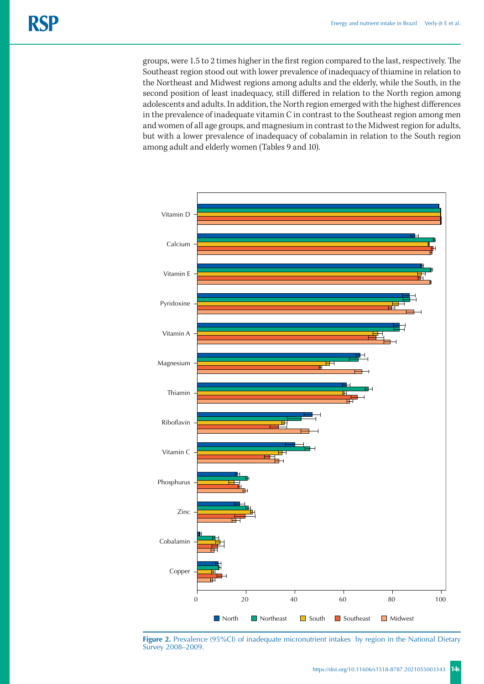groups, were 1.5 to 2 times higher in the first region compared to the last, respectively. The Southeast region stood out with lower prevalence of inadequacy of thiamine in relation to the Northeast and Midwest regions among adults and the elderly, while the South, in the second position of least inadequacy, still differed in relation to the North region among adolescents and adults. In addition, the North region emerged with the highest differences in the prevalence of inadequate vitamin C in contrast to the Southeast region among men and women of all age groups, and magnesium in contrast to the Midwest region for adults, but with a lower prevalence of inadequacy of cobalamin in relation to the South region among adult and elderly women (Tables 9 and 10).



Figure 2. Prevalence (95%CI) of inadequate micronutrient intakes by region in the National Dietary Survey 2008–2009.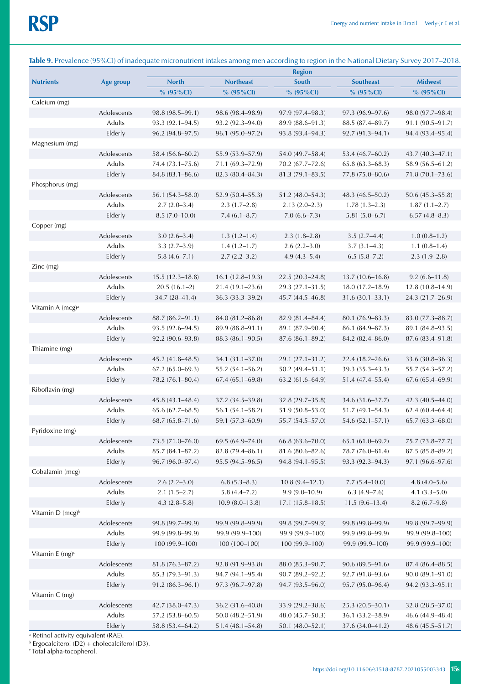|                              |               |                     |                     | <b>Region</b>       |                     |                                         |
|------------------------------|---------------|---------------------|---------------------|---------------------|---------------------|-----------------------------------------|
| <b>Nutrients</b>             | Age group     | <b>North</b>        | <b>Northeast</b>    | South               | <b>Southeast</b>    | <b>Midwest</b>                          |
|                              |               | % (95%Cl)           | $% (95\% CI)$       | % (95%Cl)           | % (95%CI)           | % $(95\%$ CI)                           |
| Calcium (mg)                 |               |                     |                     |                     |                     |                                         |
|                              | Adolescents   | $98.8(98.5 - 99.1)$ | 98.6 (98.4–98.9)    | $97.9(97.4 - 98.3)$ | $97.3(96.9 - 97.6)$ | 98.0 (97.7-98.4)                        |
|                              | <b>Adults</b> | 93.3 (92.1-94.5)    | 93.2 (92.3-94.0)    | 89.9 (88.6-91.3)    | 88.5 (87.4-89.7)    | $91.1(90.5 - 91.7)$                     |
|                              | Elderly       | $96.2(94.8-97.5)$   | 96.1 (95.0-97.2)    | 93.8 (93.4-94.3)    | $92.7(91.3 - 94.1)$ | 94.4 (93.4–95.4)                        |
| Magnesium (mg)               |               |                     |                     |                     |                     |                                         |
|                              | Adolescents   | 58.4 (56.6–60.2)    | 55.9 (53.9–57.9)    | 54.0 (49.7-58.4)    | $53.4(46.7-60.2)$   | $43.7(40.3 - 47.1)$                     |
|                              | Adults        | 74.4 (73.1–75.6)    | 71.1 (69.3–72.9)    | 70.2 (67.7–72.6)    | $65.8(63.3 - 68.3)$ | 58.9 (56.5-61.2)                        |
|                              | Elderly       | $84.8(83.1 - 86.6)$ | 82.3 (80.4-84.3)    | $81.3(79.1 - 83.5)$ | 77.8 (75.0-80.6)    | $71.8(70.1 - 73.6)$                     |
| Phosphorus (mg)              |               |                     |                     |                     |                     |                                         |
|                              | Adolescents   | $56.1(54.3 - 58.0)$ | $52.9(50.4 - 55.3)$ | $51.2(48.0 - 54.3)$ | $48.3(46.5 - 50.2)$ | $50.6(45.3 - 55.8)$                     |
|                              | Adults        | $2.7(2.0-3.4)$      | $2.3(1.7-2.8)$      | $2.13(2.0-2.3)$     | $1.78(1.3-2.3)$     | $1.87(1.1 - 2.7)$                       |
|                              | Elderly       | $8.5(7.0-10.0)$     | $7.4(6.1 - 8.7)$    | $7.0(6.6 - 7.3)$    | $5.81(5.0 - 6.7)$   | $6.57(4.8 - 8.3)$                       |
| Copper (mg)                  |               |                     |                     |                     |                     |                                         |
|                              | Adolescents   | $3.0(2.6 - 3.4)$    | $1.3(1.2 - 1.4)$    | $2.3(1.8-2.8)$      | $3.5(2.7-4.4)$      | $1.0(0.8-1.2)$                          |
|                              | Adults        | $3.3(2.7-3.9)$      | $1.4(1.2 - 1.7)$    | $2.6(2.2 - 3.0)$    | $3.7(3.1-4.3)$      | $1.1(0.8-1.4)$                          |
|                              | Elderly       | $5.8(4.6 - 7.1)$    | $2.7(2.2 - 3.2)$    | $4.9(4.3-5.4)$      | $6.5(5.8 - 7.2)$    | $2.3(1.9-2.8)$                          |
| Zinc (mg)                    | Adolescents   | $15.5(12.3 - 18.8)$ | $16.1(12.8-19.3)$   | $22.5(20.3 - 24.8)$ | $13.7(10.6 - 16.8)$ | $9.2(6.6 - 11.8)$                       |
|                              | Adults        | $20.5(16.1-2)$      | $21.4(19.1 - 23.6)$ | 29.3 (27.1-31.5)    | $18.0(17.2 - 18.9)$ |                                         |
|                              | Elderly       | 34.7 (28-41.4)      | 36.3 (33.3-39.2)    | 45.7 (44.5-46.8)    | $31.6(30.1 - 33.1)$ | $12.8(10.8 - 14.9)$<br>24.3 (21.7-26.9) |
| Vitamin A (mcg) <sup>a</sup> |               |                     |                     |                     |                     |                                         |
|                              | Adolescents   | 88.7 (86.2-91.1)    | 84.0 (81.2-86.8)    | 82.9 (81.4-84.4)    | 80.1 (76.9-83.3)    | 83.0 (77.3–88.7)                        |
|                              | Adults        | $93.5(92.6 - 94.5)$ | 89.9 (88.8-91.1)    | 89.1 (87.9-90.4)    | 86.1 (84.9–87.3)    | 89.1 (84.8-93.5)                        |
|                              | Elderly       | $92.2(90.6 - 93.8)$ | $88.3(86.1 - 90.5)$ | $87.6(86.1 - 89.2)$ | 84.2 (82.4-86.0)    | 87.6 (83.4-91.8)                        |
| Thiamine (mg)                |               |                     |                     |                     |                     |                                         |
|                              | Adolescents   | $45.2(41.8 - 48.5)$ | 34.1 (31.1-37.0)    | $29.1(27.1 - 31.2)$ | $22.4(18.2 - 26.6)$ | 33.6 (30.8-36.3)                        |
|                              | Adults        | $67.2(65.0-69.3)$   | 55.2 (54.1-56.2)    | $50.2(49.4 - 51.1)$ | 39.3 (35.3–43.3)    | 55.7 (54.3–57.2)                        |
|                              | Elderly       | 78.2 (76.1-80.4)    | $67.4(65.1 - 69.8)$ | $63.2(61.6 - 64.9)$ | 51.4 (47.4–55.4)    | 67.6 (65.4-69.9)                        |
| Riboflavin (mg)              |               |                     |                     |                     |                     |                                         |
|                              | Adolescents   | $45.8(43.1 - 48.4)$ | 37.2 (34.5–39.8)    | $32.8(29.7 - 35.8)$ | 34.6 (31.6–37.7)    | $42.3(40.5 - 44.0)$                     |
|                              | Adults        | $65.6(62.7 - 68.5)$ | $56.1(54.1 - 58.2)$ | 51.9 (50.8-53.0)    | $51.7(49.1 - 54.3)$ | $62.4(60.4 - 64.4)$                     |
|                              | Elderly       | $68.7(65.8 - 71.6)$ | 59.1 (57.3-60.9)    | 55.7 (54.5-57.0)    | $54.6(52.1 - 57.1)$ | $65.7(63.3 - 68.0)$                     |
| Pyridoxine (mg)              |               |                     |                     |                     |                     |                                         |
|                              | Adolescents   | 73.5 (71.0-76.0)    | 69.5 (64.9-74.0)    | 66.8 (63.6-70.0)    | 65.1 (61.0-69.2)    | 75.7 (73.8-77.7)                        |
|                              | Adults        | 85.7 (84.1-87.2)    | 82.8 (79.4-86.1)    | 81.6 (80.6-82.6)    | 78.7 (76.0-81.4)    | $87.5(85.8 - 89.2)$                     |
|                              | Elderly       | 96.7 (96.0-97.4)    | 95.5 (94.5-96.5)    | 94.8 (94.1-95.5)    | 93.3 (92.3-94.3)    | 97.1 (96.6-97.6)                        |
| Cobalamin (mcg)              |               |                     |                     |                     |                     |                                         |
|                              | Adolescents   | $2.6(2.2 - 3.0)$    | $6.8(5.3 - 8.3)$    | $10.8(9.4 - 12.1)$  | $7.7(5.4 - 10.0)$   | $4.8(4.0 - 5.6)$                        |
|                              | Adults        | $2.1(1.5-2.7)$      | $5.8(4.4 - 7.2)$    | $9.9(9.0 - 10.9)$   | $6.3(4.9 - 7.6)$    | $4.1 (3.3 - 5.0)$                       |
|                              | Elderly       | $4.3(2.8-5.8)$      | $10.9(8.0-13.8)$    | $17.1(15.8 - 18.5)$ | $11.5(9.6 - 13.4)$  | $8.2(6.7-9.8)$                          |
| Vitamin D (mcg) <sup>b</sup> |               |                     |                     |                     |                     |                                         |
|                              | Adolescents   | 99.8 (99.7-99.9)    | 99.9 (99.8-99.9)    | 99.8 (99.7-99.9)    | 99.8 (99.8-99.9)    | 99.8 (99.7-99.9)                        |
|                              | Adults        | 99.9 (99.8-99.9)    | 99.9 (99.9-100)     | 99.9 (99.9-100)     | 99.9 (99.8-99.9)    | 99.9 (99.8-100)                         |
|                              | Elderly       | 100 (99.9-100)      | 100 (100-100)       | 100 (99.9-100)      | 99.9 (99.9-100)     | 99.9 (99.9-100)                         |
| Vitamin E $(mg)^c$           |               |                     |                     |                     |                     |                                         |
|                              | Adolescents   | 81.8 (76.3-87.2)    | 92.8 (91.9-93.8)    | 88.0 (85.3-90.7)    | 90.6 (89.5-91.6)    | 87.4 (86.4-88.5)                        |
|                              | Adults        | 85.3 (79.3-91.3)    | 94.7 (94.1-95.4)    | 90.7 (89.2-92.2)    | $92.7(91.8-93.6)$   | $90.0(89.1 - 91.0)$                     |
|                              | Elderly       | 91.2 (86.3-96.1)    | 97.3 (96.7-97.8)    | 94.7 (93.5-96.0)    | 95.7 (95.0-96.4)    | 94.2 (93.3-95.1)                        |
| Vitamin C (mg)               |               |                     |                     |                     |                     |                                         |
|                              | Adolescents   | $42.7(38.0 - 47.3)$ | 36.2 (31.6-40.8)    | 33.9 (29.2-38.6)    | 25.3 (20.5-30.1)    | $32.8(28.5 - 37.0)$                     |
|                              | Adults        | 57.2 (53.8-60.5)    | 50.0 (48.2-51.9)    | 48.0 (45.7-50.3)    | 36.1 (33.2-38.9)    | 46.6 (44.9-48.4)                        |
|                              | Elderly       | 58.8 (53.4-64.2)    | 51.4 (48.1-54.8)    | 50.1 (48.0-52.1)    | 37.6 (34.0-41.2)    | 48.6 (45.5-51.7)                        |

# **Table 9.** Prevalence (95%CI) of inadequate micronutrient intakes among men according to region in the National Dietary Survey 2017–2018.

a Retinol activity equivalent (RAE).

b Ergocalciterol (D2) + cholecalciferol (D3).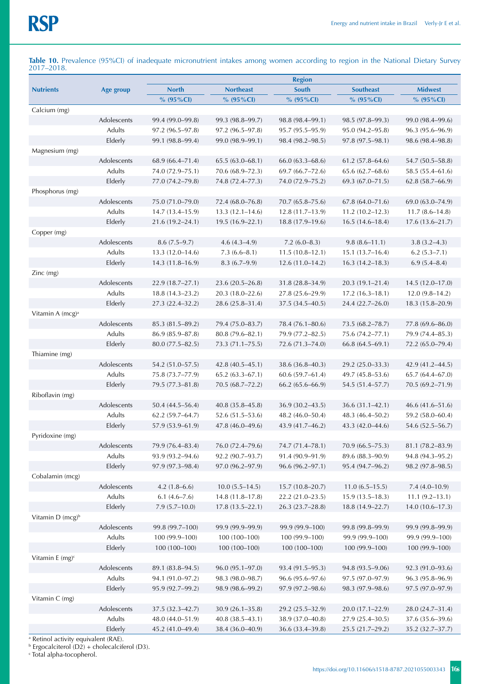**Table 10.** Prevalence (95%CI) of inadequate micronutrient intakes among women according to region in the National Dietary Survey 2017–2018.

|                              |             | <b>Region</b>       |                     |                     |                     |                     |
|------------------------------|-------------|---------------------|---------------------|---------------------|---------------------|---------------------|
| <b>Nutrients</b>             | Age group   | <b>North</b>        | <b>Northeast</b>    | South               | <b>Southeast</b>    | <b>Midwest</b>      |
|                              |             | % $(95\%$ CI)       | % $(95\%$ CI)       | % $(95\%$ CI)       | $% (95\%CI)$        | % $(95\%$ CI)       |
| Calcium (mg)                 |             |                     |                     |                     |                     |                     |
|                              | Adolescents | 99.4 (99.0–99.8)    | 99.3 (98.8–99.7)    | 98.8 (98.4–99.1)    | 98.5 (97.8–99.3)    | 99.0 (98.4–99.6)    |
|                              | Adults      | $97.2(96.5 - 97.8)$ | $97.2(96.5 - 97.8)$ | $95.7(95.5 - 95.9)$ | 95.0 (94.2-95.8)    | $96.3(95.6 - 96.9)$ |
|                              | Elderly     | 99.1 (98.8–99.4)    | 99.0 (98.9–99.1)    | 98.4 (98.2-98.5)    | $97.8(97.5 - 98.1)$ | 98.6 (98.4-98.8)    |
| Magnesium (mg)               |             |                     |                     |                     |                     |                     |
|                              | Adolescents | $68.9(66.4 - 71.4)$ | $65.5(63.0 - 68.1)$ | $66.0(63.3 - 68.6)$ | $61.2(57.8 - 64.6)$ | 54.7 (50.5-58.8)    |
|                              | Adults      | 74.0 (72.9-75.1)    | 70.6 (68.9–72.3)    | $69.7(66.7 - 72.6)$ | $65.6(62.7 - 68.6)$ | 58.5 (55.4–61.6)    |
|                              | Elderly     | 77.0 (74.2–79.8)    | 74.8 (72.4–77.3)    | 74.0 (72.9-75.2)    | $69.3(67.0 - 71.5)$ | $62.8(58.7 - 66.9)$ |
| Phosphorus (mg)              |             |                     |                     |                     |                     |                     |
|                              | Adolescents | 75.0 (71.0-79.0)    | 72.4 (68.0-76.8)    | $70.7(65.8 - 75.6)$ | $67.8(64.0 - 71.6)$ | 69.0 (63.0–74.9)    |
|                              | Adults      | $14.7(13.4 - 15.9)$ | $13.3(12.1 - 14.6)$ | $12.8(11.7-13.9)$   | $11.2(10.2 - 12.3)$ | $11.7(8.6 - 14.8)$  |
|                              | Elderly     | $21.6(19.2 - 24.1)$ | $19.5(16.9-22.1)$   | $18.8(17.9-19.6)$   | $16.5(14.6 - 18.4)$ | $17.6(13.6 - 21.7)$ |
| Copper (mg)                  |             |                     |                     |                     |                     |                     |
|                              | Adolescents | $8.6(7.5-9.7)$      | $4.6(4.3-4.9)$      | $7.2(6.0-8.3)$      | $9.8(8.6 - 11.1)$   | $3.8(3.2 - 4.3)$    |
|                              | Adults      | $13.3(12.0 - 14.6)$ | $7.3(6.6 - 8.1)$    | $11.5(10.8-12.1)$   | $15.1(13.7-16.4)$   | $6.2(5.3 - 7.1)$    |
|                              | Elderly     | $14.3(11.8-16.9)$   | $8.3(6.7-9.9)$      | $12.6(11.0-14.2)$   | $16.3(14.2 - 18.3)$ | $6.9(5.4 - 8.4)$    |
| Zinc (mg)                    |             |                     |                     |                     |                     |                     |
|                              | Adolescents | 22.9(18.7–27.1)     | $23.6(20.5-26.8)$   | $31.8(28.8 - 34.9)$ | $20.3(19.1 - 21.4)$ | $14.5(12.0-17.0)$   |
|                              | Adults      | $18.8(14.3-23.2)$   | $20.3(18.0-22.6)$   | $27.8(25.6 - 29.9)$ | $17.2(16.3-18.1)$   | $12.0(9.8-14.2)$    |
|                              | Elderly     | 27.3 (22.4-32.2)    | 28.6 (25.8-31.4)    | 37.5 (34.5-40.5)    | 24.4 (22.7-26.0)    | 18.3 (15.8-20.9)    |
| Vitamin A (mcg) <sup>a</sup> |             |                     |                     |                     |                     |                     |
|                              | Adolescents | $85.3(81.5 - 89.2)$ | 79.4 (75.0–83.7)    | 78.4 (76.1–80.6)    | 73.5 (68.2–78.7)    | 77.8 (69.6-86.0)    |
|                              | Adults      | $86.9(85.9 - 87.8)$ | $80.8(79.6 - 82.1)$ | 79.9 (77.2–82.5)    | 75.6 (74.2–77.1)    | 79.9 (74.4–85.3)    |
|                              | Elderly     | 80.0 (77.5-82.5)    | 73.3 (71.1-75.5)    | 72.6 (71.3–74.0)    | $66.8(64.5 - 69.1)$ | 72.2 (65.0-79.4)    |
| Thiamine (mg)                |             |                     |                     |                     |                     |                     |
|                              | Adolescents | 54.2 (51.0–57.5)    | $42.8(40.5 - 45.1)$ | 38.6 (36.8–40.3)    | 29.2 (25.0–33.3)    | 42.9 (41.2–44.5)    |
|                              | Adults      | 75.8 (73.7-77.9)    | $65.2(63.3 - 67.1)$ | $60.6(59.7 - 61.4)$ | 49.7 (45.8–53.6)    | $65.7(64.4 - 67.0)$ |
|                              | Elderly     | 79.5 (77.3–81.8)    | 70.5 (68.7–72.2)    | $66.2(65.6 - 66.9)$ | 54.5 (51.4–57.7)    | 70.5 (69.2–71.9)    |
| Riboflavin (mg)              |             |                     |                     |                     |                     |                     |
|                              | Adolescents | $50.4(44.5 - 56.4)$ | $40.8(35.8 - 45.8)$ | 36.9 (30.2-43.5)    | $36.6(31.1 - 42.1)$ | 46.6 (41.6–51.6)    |
|                              | Adults      | $62.2(59.7 - 64.7)$ | $52.6(51.5-53.6)$   | 48.2 (46.0–50.4)    | 48.3 (46.4–50.2)    | 59.2 (58.0-60.4)    |
|                              | Elderly     | 57.9 (53.9-61.9)    | 47.8 (46.0–49.6)    | 43.9 (41.7-46.2)    | 43.3 (42.0-44.6)    | 54.6 (52.5-56.7)    |
| Pyridoxine (mg)              |             |                     |                     |                     |                     |                     |
|                              | Adolescents | 79.9 (76.4-83.4)    | 76.0 (72.4-79.6)    | 74.7 (71.4-78.1)    | 70.9 (66.5-75.3)    | 81.1 (78.2-83.9)    |
|                              | Adults      | 93.9 (93.2-94.6)    | 92.2 (90.7-93.7)    | 91.4 (90.9-91.9)    | 89.6 (88.3-90.9)    | 94.8 (94.3-95.2)    |
|                              | Elderly     | 97.9 (97.3-98.4)    | 97.0 (96.2-97.9)    | $96.6(96.2 - 97.1)$ | 95.4 (94.7-96.2)    | 98.2 (97.8-98.5)    |
| Cobalamin (mcg)              |             |                     |                     |                     |                     |                     |
|                              | Adolescents | $4.2(1.8-6.6)$      | $10.0(5.5 - 14.5)$  | $15.7(10.8 - 20.7)$ | $11.0(6.5 - 15.5)$  | $7.4(4.0-10.9)$     |
|                              | Adults      | $6.1(4.6 - 7.6)$    | 14.8 (11.8-17.8)    | 22.2 (21.0-23.5)    | $15.9(13.5 - 18.3)$ | $11.1 (9.2 - 13.1)$ |
|                              | Elderly     | $7.9(5.7-10.0)$     | $17.8(13.5 - 22.1)$ | 26.3 (23.7-28.8)    | $18.8(14.9 - 22.7)$ | $14.0(10.6 - 17.3)$ |
| Vitamin D (mcg) <sup>b</sup> |             |                     |                     |                     |                     |                     |
|                              | Adolescents | 99.8 (99.7-100)     | 99.9 (99.9-99.9)    | 99.9 (99.9-100)     | 99.8 (99.8-99.9)    | 99.9 (99.8-99.9)    |
|                              | Adults      | 100 (99.9-100)      | 100 (100-100)       | 100 (99.9-100)      | 99.9 (99.9-100)     | 99.9 (99.9-100)     |
|                              | Elderly     | 100 (100-100)       | 100 (100-100)       | 100 (100-100)       | 100 (99.9-100)      | 100 (99.9-100)      |
| Vitamin E $(mg)^c$           |             |                     |                     |                     |                     |                     |
|                              | Adolescents | 89.1 (83.8-94.5)    | $96.0(95.1 - 97.0)$ | 93.4 (91.5-95.3)    | 94.8 (93.5-9.06)    | 92.3 (91.0-93.6)    |
|                              | Adults      | 94.1 (91.0-97.2)    | 98.3 (98.0-98.7)    | 96.6 (95.6-97.6)    | 97.5 (97.0-97.9)    | 96.3 (95.8-96.9)    |
|                              | Elderly     | 95.9 (92.7-99.2)    | 98.9 (98.6-99.2)    | 97.9 (97.2-98.6)    | 98.3 (97.9-98.6)    | 97.5 (97.0-97.9)    |
| Vitamin C (mg)               |             |                     |                     |                     |                     |                     |
|                              | Adolescents | 37.5 (32.3-42.7)    | $30.9(26.1 - 35.8)$ | 29.2 (25.5-32.9)    | $20.0(17.1 - 22.9)$ | 28.0 (24.7-31.4)    |
|                              | Adults      | 48.0 (44.0-51.9)    | $40.8(38.5 - 43.1)$ | 38.9 (37.0-40.8)    | 27.9 (25.4-30.5)    | 37.6 (35.6-39.6)    |
|                              |             |                     |                     |                     |                     |                     |
|                              | Elderly     | 45.2 (41.0-49.4)    | 38.4 (36.0-40.9)    | 36.6 (33.4-39.8)    | 25.5 (21.7-29.2)    | 35.2 (32.7-37.7)    |

<sup>a</sup> Retinol activity equivalent (RAE).<br><sup>b</sup> Ergocalciterol (D2) + cholecalciferol (D3).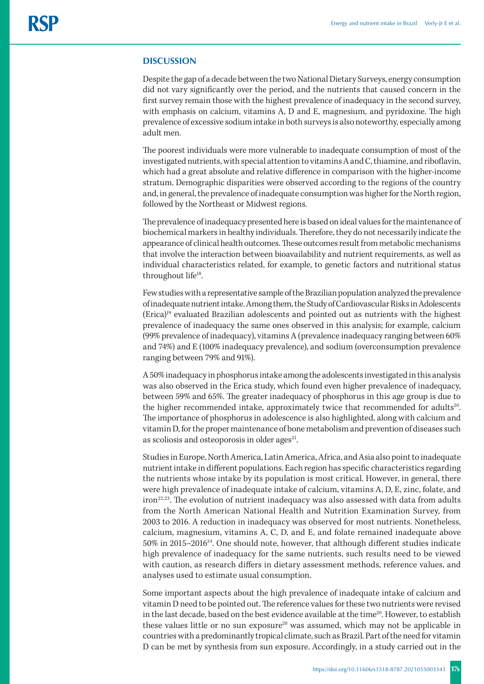#### **DISCUSSION**

Despite the gap of a decade between the two National Dietary Surveys, energy consumption did not vary significantly over the period, and the nutrients that caused concern in the first survey remain those with the highest prevalence of inadequacy in the second survey, with emphasis on calcium, vitamins A, D and E, magnesium, and pyridoxine. The high prevalence of excessive sodium intake in both surveys is also noteworthy, especially among adult men.

The poorest individuals were more vulnerable to inadequate consumption of most of the investigated nutrients, with special attention to vitamins A and C, thiamine, and riboflavin, which had a great absolute and relative difference in comparison with the higher-income stratum. Demographic disparities were observed according to the regions of the country and, in general, the prevalence of inadequate consumption was higher for the North region, followed by the Northeast or Midwest regions.

The prevalence of inadequacy presented here is based on ideal values for the maintenance of biochemical markers in healthy individuals. Therefore, they do not necessarily indicate the appearance of clinical health outcomes. These outcomes result from metabolic mechanisms that involve the interaction between bioavailability and nutrient requirements, as well as individual characteristics related, for example, to genetic factors and nutritional status throughout life<sup>18</sup>.

Few studies with a representative sample of the Brazilian population analyzed the prevalence of inadequate nutrient intake. Among them, the Study of Cardiovascular Risks in Adolescents (Erica)19 evaluated Brazilian adolescents and pointed out as nutrients with the highest prevalence of inadequacy the same ones observed in this analysis; for example, calcium (99% prevalence of inadequacy), vitamins A (prevalence inadequacy ranging between 60% and 74%) and E (100% inadequacy prevalence), and sodium (overconsumption prevalence ranging between 79% and 91%).

A 50% inadequacy in phosphorus intake among the adolescents investigated in this analysis was also observed in the Erica study, which found even higher prevalence of inadequacy, between 59% and 65%. The greater inadequacy of phosphorus in this age group is due to the higher recommended intake, approximately twice that recommended for adults<sup>20</sup>. The importance of phosphorus in adolescence is also highlighted, along with calcium and vitamin D, for the proper maintenance of bone metabolism and prevention of diseases such as scoliosis and osteoporosis in older ages<sup>21</sup>.

Studies in Europe, North America, Latin America, Africa, and Asia also point to inadequate nutrient intake in different populations. Each region has specific characteristics regarding the nutrients whose intake by its population is most critical. However, in general, there were high prevalence of inadequate intake of calcium, vitamins A, D, E, zinc, folate, and iron<sup>22,23</sup>. The evolution of nutrient inadequacy was also assessed with data from adults from the North American National Health and Nutrition Examination Survey, from 2003 to 2016. A reduction in inadequacy was observed for most nutrients. Nonetheless, calcium, magnesium, vitamins A, C, D, and E, and folate remained inadequate above 50% in 2015–201624. One should note, however, that although different studies indicate high prevalence of inadequacy for the same nutrients, such results need to be viewed with caution, as research differs in dietary assessment methods, reference values, and analyses used to estimate usual consumption.

Some important aspects about the high prevalence of inadequate intake of calcium and vitamin D need to be pointed out. The reference values for these two nutrients were revised in the last decade, based on the best evidence available at the time<sup>20</sup>. However, to establish these values little or no sun exposure<sup>20</sup> was assumed, which may not be applicable in countries with a predominantly tropical climate, such as Brazil. Part of the need for vitamin D can be met by synthesis from sun exposure. Accordingly, in a study carried out in the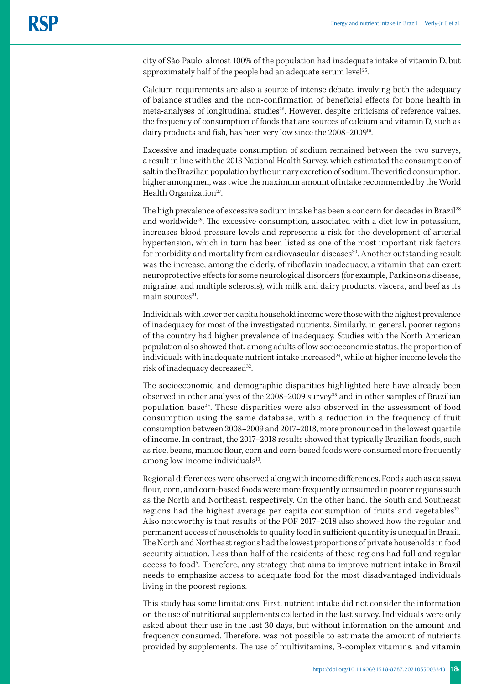city of São Paulo, almost 100% of the population had inadequate intake of vitamin D, but approximately half of the people had an adequate serum level $25$ .

Calcium requirements are also a source of intense debate, involving both the adequacy of balance studies and the non-confirmation of beneficial effects for bone health in meta-analyses of longitudinal studies<sup>26</sup>. However, despite criticisms of reference values, the frequency of consumption of foods that are sources of calcium and vitamin D, such as dairy products and fish, has been very low since the 2008–200910.

Excessive and inadequate consumption of sodium remained between the two surveys, a result in line with the 2013 National Health Survey, which estimated the consumption of salt in the Brazilian population by the urinary excretion of sodium. The verified consumption, higher among men, was twice the maximum amount of intake recommended by the World Health Organization $27$ .

The high prevalence of excessive sodium intake has been a concern for decades in Brazil<sup>28</sup> and worldwide<sup>29</sup>. The excessive consumption, associated with a diet low in potassium, increases blood pressure levels and represents a risk for the development of arterial hypertension, which in turn has been listed as one of the most important risk factors for morbidity and mortality from cardiovascular diseases<sup>30</sup>. Another outstanding result was the increase, among the elderly, of riboflavin inadequacy, a vitamin that can exert neuroprotective effects for some neurological disorders (for example, Parkinson's disease, migraine, and multiple sclerosis), with milk and dairy products, viscera, and beef as its main sources<sup>31</sup>.

Individuals with lower per capita household income were those with the highest prevalence of inadequacy for most of the investigated nutrients. Similarly, in general, poorer regions of the country had higher prevalence of inadequacy. Studies with the North American population also showed that, among adults of low socioeconomic status, the proportion of individuals with inadequate nutrient intake increased $24$ , while at higher income levels the risk of inadequacy decreased<sup>32</sup>.

The socioeconomic and demographic disparities highlighted here have already been observed in other analyses of the 2008–2009 survey<sup>33</sup> and in other samples of Brazilian population base34. These disparities were also observed in the assessment of food consumption using the same database, with a reduction in the frequency of fruit consumption between 2008–2009 and 2017–2018, more pronounced in the lowest quartile of income. In contrast, the 2017–2018 results showed that typically Brazilian foods, such as rice, beans, manioc flour, corn and corn-based foods were consumed more frequently among low-income individuals<sup>10</sup>.

Regional differences were observed along with income differences. Foods such as cassava flour, corn, and corn-based foods were more frequently consumed in poorer regions such as the North and Northeast, respectively. On the other hand, the South and Southeast regions had the highest average per capita consumption of fruits and vegetables<sup>10</sup>. Also noteworthy is that results of the POF 2017–2018 also showed how the regular and permanent access of households to quality food in sufficient quantity is unequal in Brazil. The North and Northeast regions had the lowest proportions of private households in food security situation. Less than half of the residents of these regions had full and regular access to food<sup>5</sup>. Therefore, any strategy that aims to improve nutrient intake in Brazil needs to emphasize access to adequate food for the most disadvantaged individuals living in the poorest regions.

This study has some limitations. First, nutrient intake did not consider the information on the use of nutritional supplements collected in the last survey. Individuals were only asked about their use in the last 30 days, but without information on the amount and frequency consumed. Therefore, was not possible to estimate the amount of nutrients provided by supplements. The use of multivitamins, B-complex vitamins, and vitamin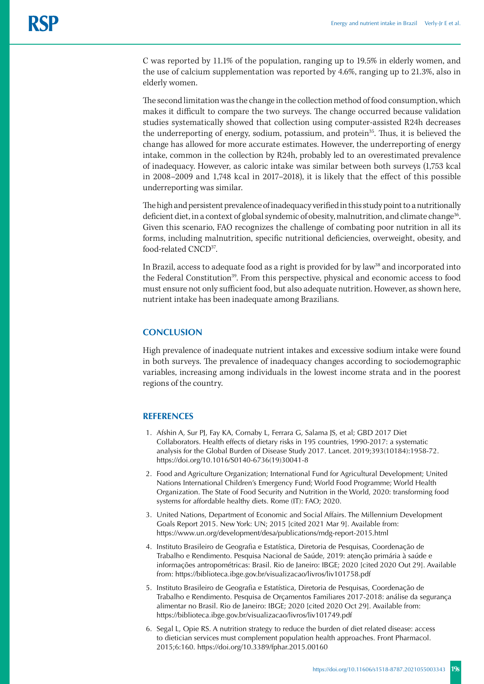C was reported by 11.1% of the population, ranging up to 19.5% in elderly women, and the use of calcium supplementation was reported by 4.6%, ranging up to 21.3%, also in elderly women.

The second limitation was the change in the collection method of food consumption, which makes it difficult to compare the two surveys. The change occurred because validation studies systematically showed that collection using computer-assisted R24h decreases the underreporting of energy, sodium, potassium, and protein<sup>35</sup>. Thus, it is believed the change has allowed for more accurate estimates. However, the underreporting of energy intake, common in the collection by R24h, probably led to an overestimated prevalence of inadequacy. However, as caloric intake was similar between both surveys (1,753 kcal in 2008–2009 and 1,748 kcal in 2017–2018), it is likely that the effect of this possible underreporting was similar.

The high and persistent prevalence of inadequacy verified in this study point to a nutritionally deficient diet, in a context of global syndemic of obesity, malnutrition, and climate change<sup>36</sup>. Given this scenario, FAO recognizes the challenge of combating poor nutrition in all its forms, including malnutrition, specific nutritional deficiencies, overweight, obesity, and food-related CNCD37.

In Brazil, access to adequate food as a right is provided for by law<sup>38</sup> and incorporated into the Federal Constitution<sup>39</sup>. From this perspective, physical and economic access to food must ensure not only sufficient food, but also adequate nutrition. However, as shown here, nutrient intake has been inadequate among Brazilians.

## **CONCLUSION**

High prevalence of inadequate nutrient intakes and excessive sodium intake were found in both surveys. The prevalence of inadequacy changes according to sociodemographic variables, increasing among individuals in the lowest income strata and in the poorest regions of the country.

## **REFERENCES**

- 1. Afshin A, Sur PJ, Fay KA, Cornaby L, Ferrara G, Salama JS, et al; GBD 2017 Diet Collaborators. Health effects of dietary risks in 195 countries, 1990-2017: a systematic analysis for the Global Burden of Disease Study 2017. Lancet. 2019;393(10184):1958-72[.](https://doi.org/10.1016/S0140-6736(19)30041-8)  [https://doi.org/10.1016/S0140-6736\(19\)30041-8](https://doi.org/10.1016/S0140-6736(19)30041-8)
- 2. Food and Agriculture Organization; International Fund for Agricultural Development; United Nations International Children's Emergency Fund; World Food Programme; World Health Organization. The State of Food Security and Nutrition in the World, 2020: transforming food systems for affordable healthy diets. Rome (IT): FAO; 2020.
- 3. United Nations, Department of Economic and Social Affairs. The Millennium Development Goals Report 2015. New York: UN; 2015 [cited 2021 Mar 9]. Available from: https://www.un.org/development/desa/publications/mdg-report-2015.html
- 4. Instituto Brasileiro de Geografia e Estatística, Diretoria de Pesquisas, Coordenação de Trabalho e Rendimento. Pesquisa Nacional de Saúde, 2019: atenção primária à saúde e informações antropométricas: Brasil. Rio de Janeiro: IBGE; 2020 [cited 2020 Out 29]. Available from: https://biblioteca.ibge.gov.br/visualizacao/livros/liv101758.pdf
- 5. Instituto Brasileiro de Geografia e Estatística, Diretoria de Pesquisas, Coordenação de Trabalho e Rendimento. Pesquisa de Orçamentos Familiares 2017-2018: análise da segurança alimentar no Brasil. Rio de Janeiro: IBGE; 2020 [cited 2020 Oct 29]. Available from: <https://biblioteca.ibge.gov.br/visualizacao/livros/liv101749.pdf>
- 6. Segal L, Opie RS. A nutrition strategy to reduce the burden of diet related disease: access to dietician services must complement population health approaches. Front Pharmacol. 2015;6:160. https://doi.org/10.3389/fphar.2015.00160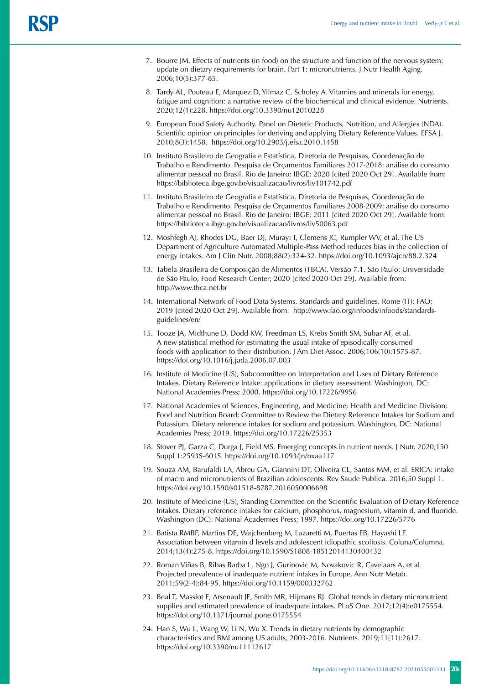- 7. Bourre JM. Effects of nutrients (in food) on the structure and function of the nervous system: update on dietary requirements for brain. Part 1: micronutrients. J Nutr Health Aging. 2006;10(5):377-85.
- 8. Tardy AL, Pouteau E, Marquez D, Yilmaz C, Scholey A. Vitamins and minerals for energy, fatigue and cognition: a narrative review of the biochemical and clinical evidence. Nutrients. 2020;12(1):228. https://doi.org/10.3390/nu12010228
- 9. European Food Safety Authority. Panel on Dietetic Products, Nutrition, and Allergies (NDA). Scientific opinion on principles for deriving and applying Dietary Reference Values. EFSA J. 2010;8(3):1458[. https://doi.org/10.2903/j.efsa.2010.1458](https://doi.org/10.2903/j.efsa.2010.1458)
- 10. Instituto Brasileiro de Geografia e Estatística, Diretoria de Pesquisas, Coordenação de Trabalho e Rendimento. Pesquisa de Orçamentos Familiares 2017-2018: análise do consumo alimentar pessoal no Brasil. Rio de Janeiro: IBGE; 2020 [cited 2020 Oct 29]. Available from: https://biblioteca.ibge.gov.br/visualizacao/livros/liv101742.pdf
- 11. Instituto Brasileiro de Geografia e Estatística, Diretoria de Pesquisas, Coordenação de Trabalho e Rendimento. Pesquisa de Orçamentos Familiares 2008-2009: análise do consumo alimentar pessoal no Brasil. Rio de Janeiro: IBGE; 2011 [cited 2020 Oct 29]. Available from: https://biblioteca.ibge.gov.br/visualizacao/livros/liv50063.pdf
- 12. Moshfegh AJ, Rhodes DG, Baer DJ, Murayi T, Clemens JC, Rumpler WV, et al. The US Department of Agriculture Automated Multiple-Pass Method reduces bias in the collection of energy intakes. Am J Clin Nutr. 2008;88(2):324-32. https://doi.org/10.1093/ajcn/88.2.324
- 13. Tabela Brasileira de Composição de Alimentos (TBCA). Versão 7.1. São Paulo: Universidade de São Paulo, Food Research Center; 2020 [cited 2020 Oct 29]. Available from: http://www.tbca.net.br
- 14. International Network of Food Data Systems. Standards and guidelines. Rome (IT): FAO; 2019 [cited 2020 Oct 29]. Available from: http://www.fao.org/infoods/infoods/standardsguidelines/en/
- 15. Tooze JA, Midthune D, Dodd KW, Freedman LS, Krebs-Smith SM, Subar AF, et al. A new statistical method for estimating the usual intake of episodically consumed foods with application to their distribution. J Am Diet Assoc. 2006;106(10):1575-87. https://doi.org/10.1016/j.jada.2006.07.003
- 16. Institute of Medicine (US), Subcommittee on Interpretation and Uses of Dietary Reference Intakes. Dietary Reference Intake: applications in dietary assessment. Washington, DC: National Academies Press; 2000. https://doi.org/10.17226/9956
- 17. National Academies of Sciences, Engineering, and Medicine; Health and Medicine Division; Food and Nutrition Board; Committee to Review the Dietary Reference Intakes for Sodium and Potassium. Dietary reference intakes for sodium and potassium. Washington, DC: National Academies Press; 2019. https://doi.org/10.17226/25353
- 18. Stover PJ, Garza C, Durga J, Field MS. Emerging concepts in nutrient needs. J Nutr. 2020;150 Suppl 1:2593S-601S. https://doi.org/10.1093/jn/nxaa117
- 19. Souza AM, Barufaldi LA, Abreu GA, Giannini DT, Oliveira CL, Santos MM, et al. ERICA: intake of macro and micronutrients of Brazilian adolescents. Rev Saude Publica. 2016;50 Suppl 1. https://doi.org/10.1590/s01518-8787.2016050006698
- 20. Institute of Medicine (US), Standing Committee on the Scientific Evaluation of Dietary Reference Intakes. Dietary reference intakes for calcium, phosphorus, magnesium, vitamin d, and fluoride. Washington (DC): National Academies Press; 1997. https://doi.org/10.17226/5776
- 21. Batista RMBF, Martins DE, Wajchenberg M, Lazaretti M, Puertas EB, Hayashi LF. Association between vitamin d levels and adolescent idiopathic scoliosis. Coluna/Columna. 2014;13(4):275-8. https://doi.org/10.1590/S1808-18512014130400432
- 22. Roman Viñas B, Ribas Barba L, Ngo J, Gurinovic M, Novakovic R, Cavelaars A, et al. Projected prevalence of inadequate nutrient intakes in Europe. Ann Nutr Metab. 2011;59(2-4):84-95. https://doi.org/10.1159/000332762
- 23. Beal T, Massiot E, Arsenault JE, Smith MR, Hijmans RJ. Global trends in dietary micronutrient supplies and estimated prevalence of inadequate intakes. PLoS One. 2017;12(4):e0175554. https://doi.org/10.1371/journal.pone.0175554
- 24. Han S, Wu L, Wang W, Li N, Wu X. Trends in dietary nutrients by demographic characteristics and BMI among US adults, 2003-2016. Nutrients. 2019;11(11):2617. https://doi.org/10.3390/nu11112617